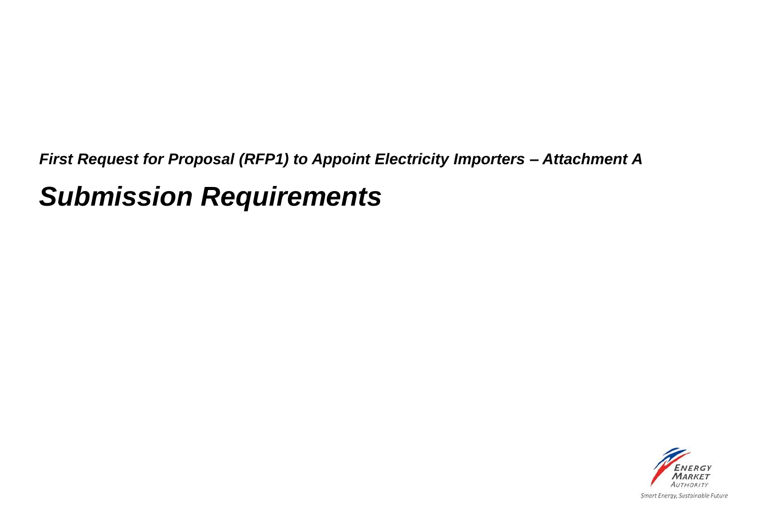*First Request for Proposal (RFP1) to Appoint Electricity Importers – Attachment A*

## *Submission Requirements*

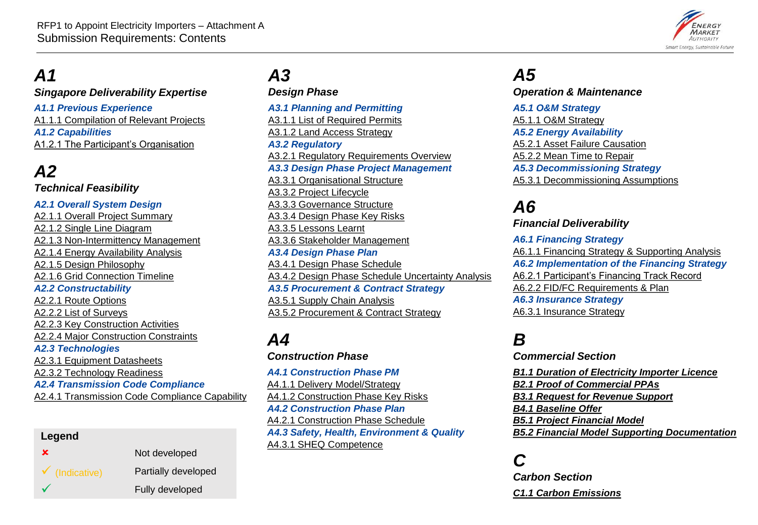

### <span id="page-1-0"></span>*A1*

#### *Singapore Deliverability Expertise*

*A1.1 Previous Experience* [A1.1.1 Compilation of Relevant Projects](#page-3-0) *A1.2 Capabilities* [A1.2.1 The Participant's Organisation](#page-4-0)

### *A2*

*Technical Feasibility*

#### *A2.1 Overall System Design*

[A2.1.1 Overall Project Summary](#page-6-0)  [A2.1.2 Single Line Diagram](#page-7-0) [A2.1.3 Non-Intermittency Management](#page-8-0) [A2.1.4 Energy Availability Analysis](#page-9-0) [A2.1.5 Design Philosophy](#page-10-0) [A2.1.6 Grid Connection Timeline](#page-11-0) *A2.2 Constructability* [A2.2.1 Route Options](#page-12-0) [A2.2.2 List of Surveys](#page-13-0) [A2.2.3 Key Construction Activities](#page-14-0) [A2.2.4 Major Construction Constraints](#page-15-0) *A2.3 Technologies* [A2.3.1 Equipment Datasheets](#page-16-0) [A2.3.2 Technology Readiness](#page-17-0) *A2.4 Transmission Code Compliance* [A2.4.1 Transmission Code Compliance Capability](#page-18-0)

#### **Legend**

| $\mathbf x$               | Not developed       |
|---------------------------|---------------------|
| $\checkmark$ (Indicative) | Partially developed |
|                           | Fully developed     |

## *A3*

*Design Phase A3.1 Planning and Permitting* [A3.1.1 List of Required Permits](#page-20-0) [A3.1.2 Land Access Strategy](#page-21-0) *A3.2 Regulatory* [A3.2.1 Regulatory Requirements Overview](#page-22-0) *A3.3 Design Phase Project Management* [A3.3.1 Organisational Structure](#page-23-0) [A3.3.2 Project Lifecycle](#page-24-0) [A3.3.3 Governance Structure](#page-25-0) [A3.3.4 Design Phase Key Risks](#page-26-0) [A3.3.5 Lessons Learnt](#page-27-0) [A3.3.6 Stakeholder Management](#page-28-0) *A3.4 Design Phase Plan* [A3.4.1 Design Phase Schedule](#page-29-0) [A3.4.2 Design Phase Schedule Uncertainty Analysis](#page-30-0)  *A3.5 Procurement & Contract Strategy* [A3.5.1 Supply Chain Analysis](#page-31-0) [A3.5.2 Procurement & Contract Strategy](#page-32-0)

#### *A4 Construction Phase*

*A4.1 Construction Phase PM* [A4.1.1 Delivery Model/Strategy](#page-34-0) [A4.1.2 Construction Phase Key Risks](#page-35-0) *A4.2 Construction Phase Plan* [A4.2.1 Construction Phase Schedule](#page-36-0) *A4.3 Safety, Health, Environment & Quality* [A4.3.1 SHEQ Competence](#page-37-0)

### *A5*

#### *Operation & Maintenance*

*A5.1 O&M Strategy* [A5.1.1 O&M Strategy](#page-39-0) *A5.2 Energy Availability* [A5.2.1 Asset Failure Causation](#page-40-0) [A5.2.2 Mean Time to Repair](#page-41-0) *A5.3 Decommissioning Strategy* [A5.3.1 Decommissioning Assumptions](#page-42-0)

### *A6*

*Financial Deliverability*

*A6.1 Financing Strategy* [A6.1.1 Financing Strategy & Supporting Analysis](#page-44-0) *A6.2 Implementation of the Financing Strategy* [A6.2.1 Participant's Financing Track Record](#page-45-0) [A6.2.2 FID/FC Requirements & Plan](#page-46-0) *A6.3 Insurance Strategy* [A6.3.1 Insurance Strategy](#page-47-0)

### *B*

*Commercial Section*

*[B1.1 Duration of Electricity Importer Licence](#page-49-0) [B2.1 Proof of Commercial PPAs](#page-50-0) [B3.1 Request for Revenue Support](#page-51-0) [B4.1 Baseline Offer](#page-52-0) [B5.1 Project Financial Model](#page-53-0) [B5.2 Financial Model Supporting Documentation](#page-54-0)*

### *C*

*Carbon Section [C1.1 Carbon Emissions](#page-56-0)*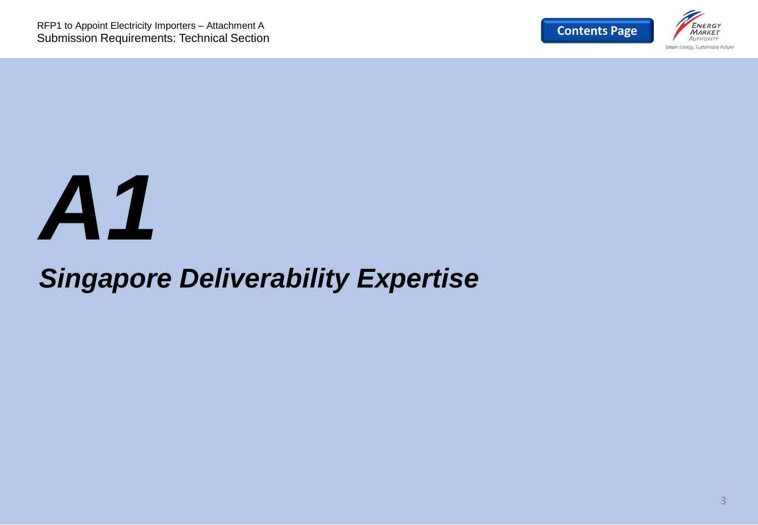

## *A1*

## *Singapore Deliverability Expertise*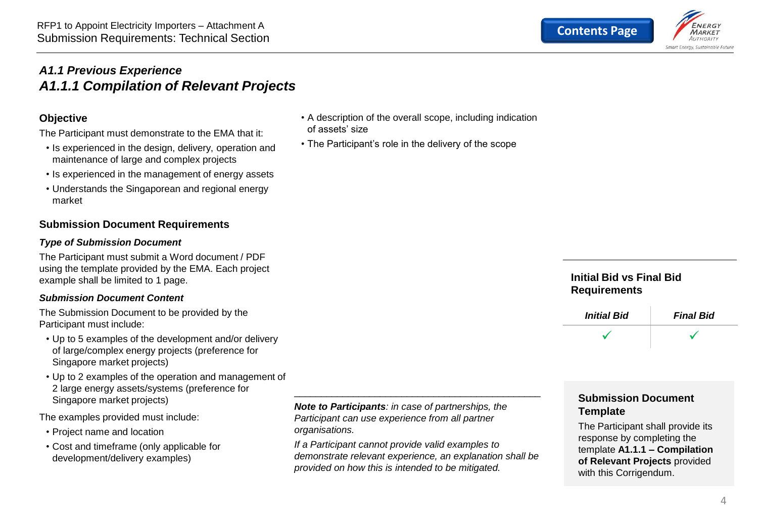#### <span id="page-3-0"></span>*A1.1 Previous Experience A1.1.1 Compilation of Relevant Projects*

#### **Objective**

The Participant must demonstrate to the EMA that it:

- Is experienced in the design, delivery, operation and maintenance of large and complex projects
- Is experienced in the management of energy assets
- Understands the Singaporean and regional energy market

#### **Submission Document Requirements**

#### *Type of Submission Document*

The Participant must submit a Word document / PDF using the template provided by the EMA. Each project example shall be limited to 1 page.

#### *Submission Document Content*

The Submission Document to be provided by the Participant must include:

- Up to 5 examples of the development and/or delivery of large/complex energy projects (preference for Singapore market projects)
- Up to 2 examples of the operation and management of 2 large energy assets/systems (preference for Singapore market projects)

The examples provided must include:

- Project name and location
- Cost and timeframe (only applicable for development/delivery examples)

*Note to Participants: in case of partnerships, the Participant can use experience from all partner organisations.*

*If a Participant cannot provide valid examples to demonstrate relevant experience, an explanation shall be provided on how this is intended to be mitigated.*

\_\_\_\_\_\_\_\_\_\_\_\_\_\_\_\_\_\_\_\_\_\_\_\_\_\_\_\_\_\_\_\_\_\_\_\_\_\_\_\_\_\_\_\_\_\_

• A description of the overall scope, including indication

• The Participant's role in the delivery of the scope

of assets' size

#### **Initial Bid vs Final Bid Requirements**



#### **Submission Document Template**

The Participant shall provide its response by completing the template **A1.1.1 – Compilation of Relevant Projects** provided with this Corrigendum.

Smart Eneray, Sustainable Future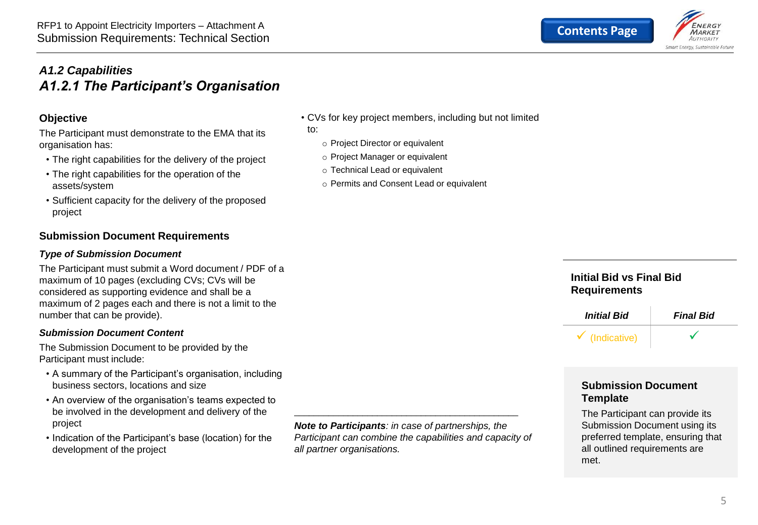#### <span id="page-4-0"></span>*A1.2 Capabilities A1.2.1 The Participant's Organisation*

#### **Objective**

The Participant must demonstrate to the EMA that its organisation has:

- The right capabilities for the delivery of the project
- The right capabilities for the operation of the assets/system
- Sufficient capacity for the delivery of the proposed project

#### **Submission Document Requirements**

#### *Type of Submission Document*

The Participant must submit a Word document / PDF of a maximum of 10 pages (excluding CVs; CVs will be considered as supporting evidence and shall be a maximum of 2 pages each and there is not a limit to the number that can be provide).

#### *Submission Document Content*

The Submission Document to be provided by the Participant must include:

- A summary of the Participant's organisation, including business sectors, locations and size
- An overview of the organisation's teams expected to be involved in the development and delivery of the project
- Indication of the Participant's base (location) for the development of the project

*Note to Participants: in case of partnerships, the Participant can combine the capabilities and capacity of all partner organisations.*

\_\_\_\_\_\_\_\_\_\_\_\_\_\_\_\_\_\_\_\_\_\_\_\_\_\_\_\_\_\_\_\_\_\_\_\_\_\_\_\_\_\_\_\_\_\_

#### • CVs for key project members, including but not limited

to:

- o Project Director or equivalent
- o Project Manager or equivalent
- o Technical Lead or equivalent
- o Permits and Consent Lead or equivalent

#### **Initial Bid vs Final Bid Requirements**



#### **Submission Document Template**

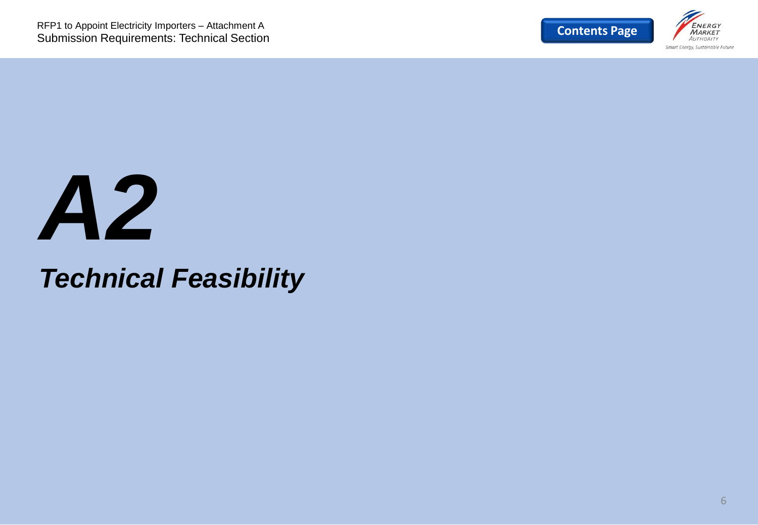

## *A2*

## *Technical Feasibility*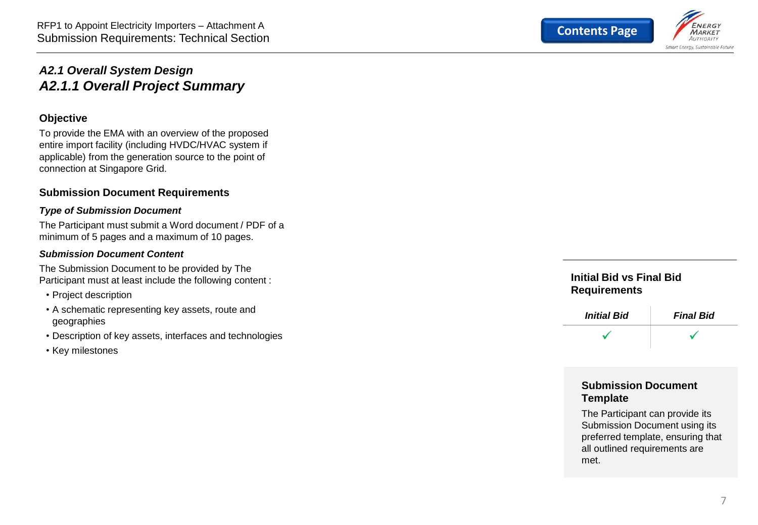

#### <span id="page-6-0"></span>*A2.1 Overall System Design A2.1.1 Overall Project Summary*

#### **Objective**

To provide the EMA with an overview of the proposed entire import facility (including HVDC/HVAC system if applicable) from the generation source to the point of connection at Singapore Grid.

#### **Submission Document Requirements**

#### *Type of Submission Document*

The Participant must submit a Word document / PDF of a minimum of 5 pages and a maximum of 10 pages.

#### *Submission Document Content*

The Submission Document to be provided by The Participant must at least include the following content :

- Project description
- A schematic representing key assets, route and geographies
- Description of key assets, interfaces and technologies
- Key milestones

#### **Initial Bid vs Final Bid Requirements**



#### **Submission Document Template**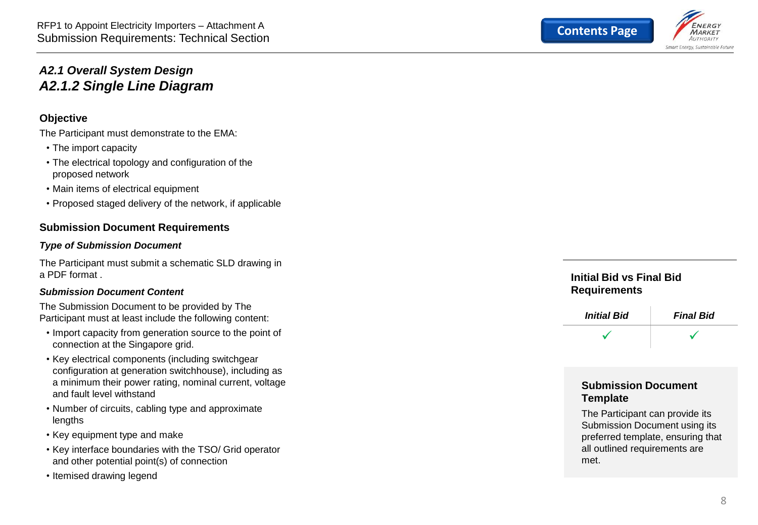

#### <span id="page-7-0"></span>*A2.1 Overall System Design A2.1.2 Single Line Diagram*

#### **Objective**

The Participant must demonstrate to the EMA:

- The import capacity
- The electrical topology and configuration of the proposed network
- Main items of electrical equipment
- Proposed staged delivery of the network, if applicable

#### **Submission Document Requirements**

#### *Type of Submission Document*

The Participant must submit a schematic SLD drawing in a PDF format .

#### *Submission Document Content*

The Submission Document to be provided by The Participant must at least include the following content:

- Import capacity from generation source to the point of connection at the Singapore grid.
- Key electrical components (including switchgear configuration at generation switchhouse), including as a minimum their power rating, nominal current, voltage and fault level withstand
- Number of circuits, cabling type and approximate lengths
- Key equipment type and make
- Key interface boundaries with the TSO/ Grid operator and other potential point(s) of connection
- Itemised drawing legend

#### **Initial Bid vs Final Bid Requirements**



#### **Submission Document Template**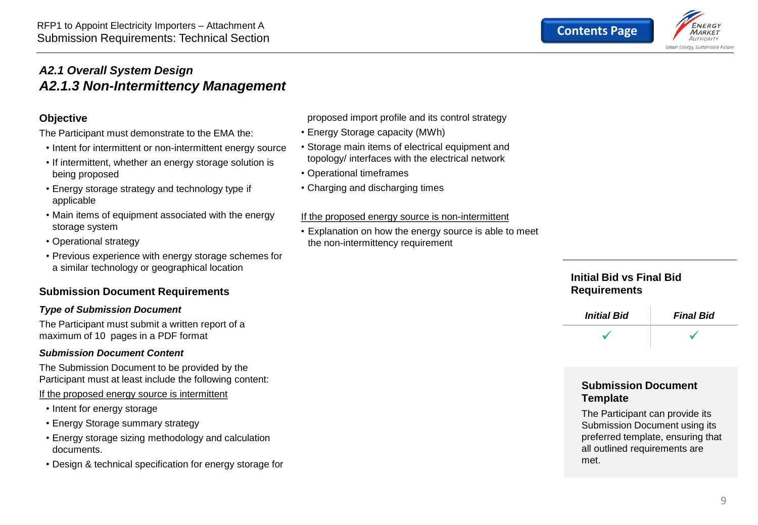

#### <span id="page-8-0"></span>*A2.1 Overall System Design A2.1.3 Non-Intermittency Management*

#### **Objective**

The Participant must demonstrate to the EMA the:

- Intent for intermittent or non-intermittent energy source
- If intermittent, whether an energy storage solution is being proposed
- Energy storage strategy and technology type if applicable
- Main items of equipment associated with the energy storage system
- Operational strategy
- Previous experience with energy storage schemes for a similar technology or geographical location

#### **Submission Document Requirements**

#### *Type of Submission Document*

The Participant must submit a written report of a maximum of 10 pages in a PDF format

#### *Submission Document Content*

The Submission Document to be provided by the Participant must at least include the following content:

If the proposed energy source is intermittent

- Intent for energy storage
- Energy Storage summary strategy
- Energy storage sizing methodology and calculation documents.
- Design & technical specification for energy storage for

proposed import profile and its control strategy

- Energy Storage capacity (MWh)
- Storage main items of electrical equipment and topology/ interfaces with the electrical network
- Operational timeframes
- Charging and discharging times

#### If the proposed energy source is non-intermittent

• Explanation on how the energy source is able to meet the non-intermittency requirement

#### **Initial Bid vs Final Bid Requirements**



#### **Submission Document Template**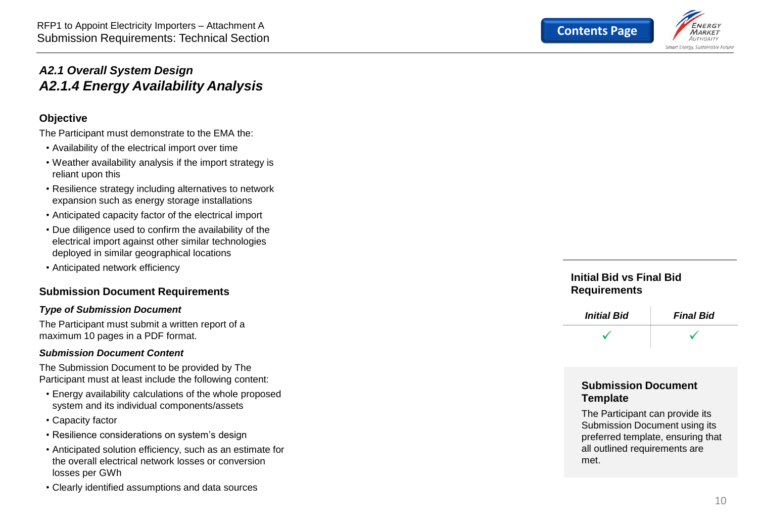

#### <span id="page-9-0"></span>*A2.1 Overall System Design A2.1.4 Energy Availability Analysis*

#### **Objective**

The Participant must demonstrate to the EMA the:

- Availability of the electrical import over time
- Weather availability analysis if the import strategy is reliant upon this
- Resilience strategy including alternatives to network expansion such as energy storage installations
- Anticipated capacity factor of the electrical import
- Due diligence used to confirm the availability of the electrical import against other similar technologies deployed in similar geographical locations
- Anticipated network efficiency

#### **Submission Document Requirements**

#### *Type of Submission Document*

The Participant must submit a written report of a maximum 10 pages in a PDF format.

#### *Submission Document Content*

The Submission Document to be provided by The Participant must at least include the following content:

- Energy availability calculations of the whole proposed system and its individual components/assets
- Capacity factor
- Resilience considerations on system's design
- Anticipated solution efficiency, such as an estimate for the overall electrical network losses or conversion losses per GWh
- Clearly identified assumptions and data sources

#### **Initial Bid vs Final Bid Requirements**



#### **Submission Document Template**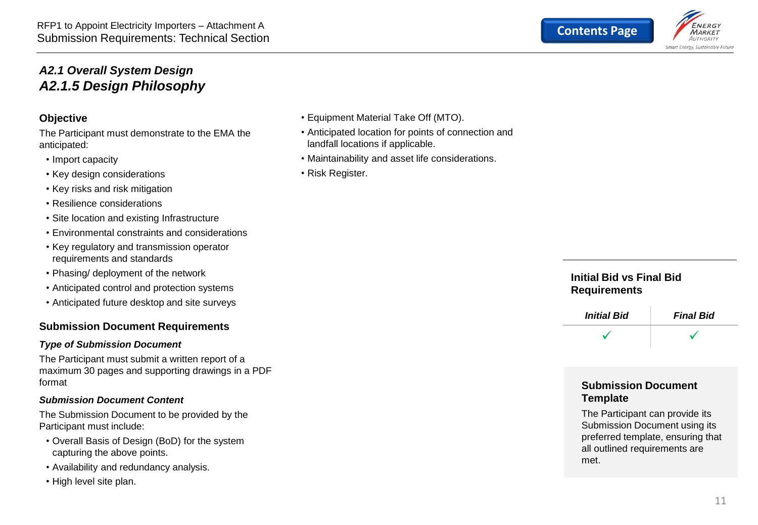

#### <span id="page-10-0"></span>*A2.1 Overall System Design A2.1.5 Design Philosophy*

#### **Objective**

The Participant must demonstrate to the EMA the anticipated:

- Import capacity
- Key design considerations
- Key risks and risk mitigation
- Resilience considerations
- Site location and existing Infrastructure
- Environmental constraints and considerations
- Key regulatory and transmission operator requirements and standards
- Phasing/ deployment of the network
- Anticipated control and protection systems
- Anticipated future desktop and site surveys

#### **Submission Document Requirements**

#### *Type of Submission Document*

The Participant must submit a written report of a maximum 30 pages and supporting drawings in a PDF format

#### *Submission Document Content*

The Submission Document to be provided by the Participant must include:

- Overall Basis of Design (BoD) for the system capturing the above points.
- Availability and redundancy analysis.
- High level site plan.
- Equipment Material Take Off (MTO).
- Anticipated location for points of connection and landfall locations if applicable.
- Maintainability and asset life considerations.
- Risk Register.

#### **Initial Bid vs Final Bid Requirements**



#### **Submission Document Template**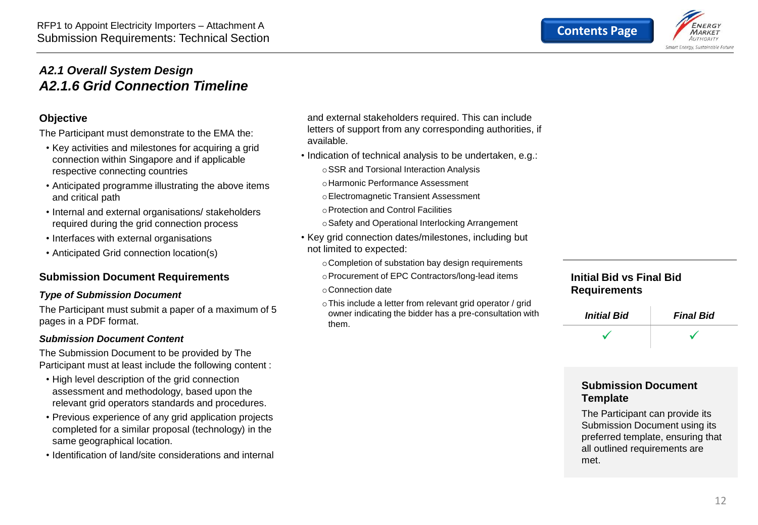

#### <span id="page-11-0"></span>*A2.1 Overall System Design A2.1.6 Grid Connection Timeline*

#### **Objective**

The Participant must demonstrate to the EMA the:

- Key activities and milestones for acquiring a grid connection within Singapore and if applicable respective connecting countries
- Anticipated programme illustrating the above items and critical path
- Internal and external organisations/ stakeholders required during the grid connection process
- Interfaces with external organisations
- Anticipated Grid connection location(s)

#### **Submission Document Requirements**

#### *Type of Submission Document*

The Participant must submit a paper of a maximum of 5 pages in a PDF format.

#### *Submission Document Content*

The Submission Document to be provided by The Participant must at least include the following content :

- High level description of the grid connection assessment and methodology, based upon the relevant grid operators standards and procedures.
- Previous experience of any grid application projects completed for a similar proposal (technology) in the same geographical location.
- Identification of land/site considerations and internal

and external stakeholders required. This can include letters of support from any corresponding authorities, if available.

- Indication of technical analysis to be undertaken, e.g.:
	- oSSR and Torsional Interaction Analysis
	- oHarmonic Performance Assessment
	- oElectromagnetic Transient Assessment
	- oProtection and Control Facilities
	- oSafety and Operational Interlocking Arrangement
- Key grid connection dates/milestones, including but not limited to expected:
	- oCompletion of substation bay design requirements
	- oProcurement of EPC Contractors/long-lead items
	- oConnection date
	- oThis include a letter from relevant grid operator / grid owner indicating the bidder has a pre-consultation with them.

#### **Initial Bid vs Final Bid Requirements**

| <b>Initial Bid</b> | <b>Final Bid</b> |
|--------------------|------------------|
|                    |                  |

#### **Submission Document Template**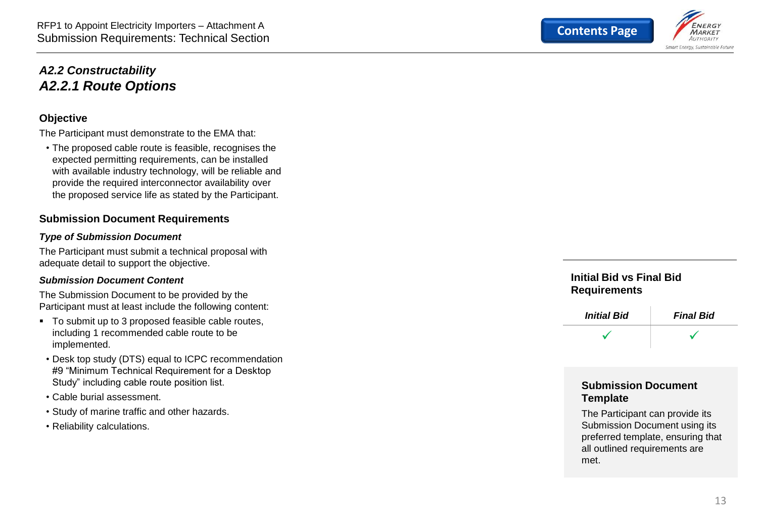#### <span id="page-12-0"></span>*A2.2 Constructability A2.2.1 Route Options*

#### **Objective**

The Participant must demonstrate to the EMA that:

• The proposed cable route is feasible, recognises the expected permitting requirements, can be installed with available industry technology, will be reliable and provide the required interconnector availability over the proposed service life as stated by the Participant.

#### **Submission Document Requirements**

#### *Type of Submission Document*

The Participant must submit a technical proposal with adequate detail to support the objective.

#### *Submission Document Content*

The Submission Document to be provided by the Participant must at least include the following content:

- To submit up to 3 proposed feasible cable routes, including 1 recommended cable route to be implemented.
- Desk top study (DTS) equal to ICPC recommendation #9 "Minimum Technical Requirement for a Desktop Study" including cable route position list.
- Cable burial assessment.
- Study of marine traffic and other hazards.
- Reliability calculations.



#### **Initial Bid vs Final Bid Requirements**



#### **Submission Document Template**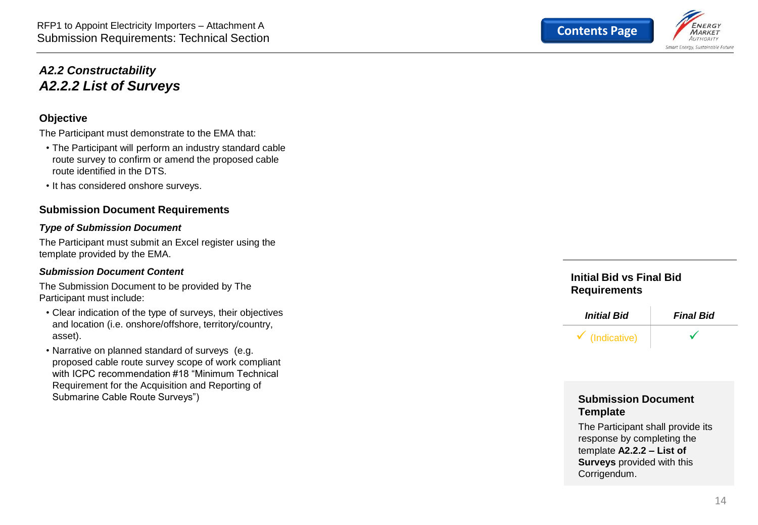#### <span id="page-13-0"></span>*A2.2 Constructability A2.2.2 List of Surveys*

#### **Objective**

The Participant must demonstrate to the EMA that:

- The Participant will perform an industry standard cable route survey to confirm or amend the proposed cable route identified in the DTS.
- It has considered onshore surveys.

#### **Submission Document Requirements**

#### *Type of Submission Document*

The Participant must submit an Excel register using the template provided by the EMA.

#### *Submission Document Content*

The Submission Document to be provided by The Participant must include:

- Clear indication of the type of surveys, their objectives and location (i.e. onshore/offshore, territory/country, asset).
- Narrative on planned standard of surveys (e.g. proposed cable route survey scope of work compliant with ICPC recommendation #18 "Minimum Technical Requirement for the Acquisition and Reporting of Submarine Cable Route Surveys")

#### **Initial Bid vs Final Bid Requirements**



#### **Submission Document Template**

The Participant shall provide its response by completing the template **A2.2.2 – List of Surveys** provided with this Corrigendum.

**MARKET** Smart Energy, Sustainable Future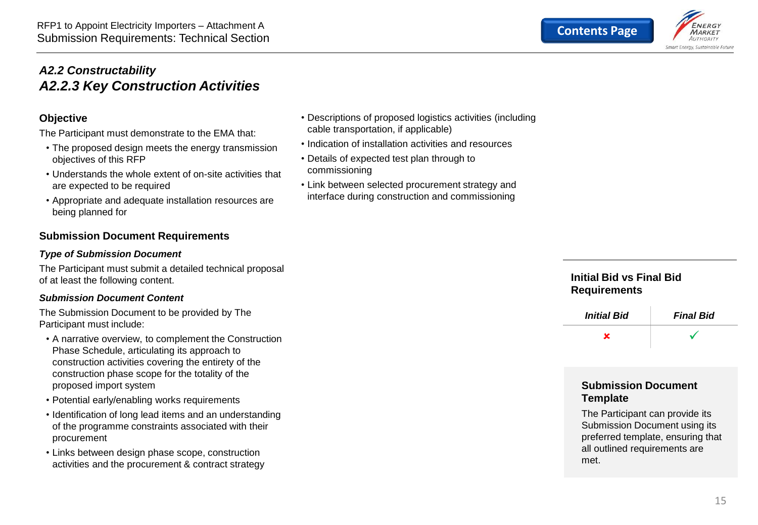#### <span id="page-14-0"></span>*A2.2 Constructability A2.2.3 Key Construction Activities*

#### **Objective**

The Participant must demonstrate to the EMA that:

- The proposed design meets the energy transmission objectives of this RFP
- Understands the whole extent of on-site activities that are expected to be required
- Appropriate and adequate installation resources are being planned for

#### **Submission Document Requirements**

#### *Type of Submission Document*

The Participant must submit a detailed technical proposal of at least the following content.

#### *Submission Document Content*

The Submission Document to be provided by The Participant must include:

- A narrative overview, to complement the Construction Phase Schedule, articulating its approach to construction activities covering the entirety of the construction phase scope for the totality of the proposed import system
- Potential early/enabling works requirements
- Identification of long lead items and an understanding of the programme constraints associated with their procurement
- Links between design phase scope, construction activities and the procurement & contract strategy
- Descriptions of proposed logistics activities (including cable transportation, if applicable)
- Indication of installation activities and resources
- Details of expected test plan through to commissioning
- Link between selected procurement strategy and interface during construction and commissioning

#### **Initial Bid vs Final Bid Requirements**



#### **Submission Document Template**

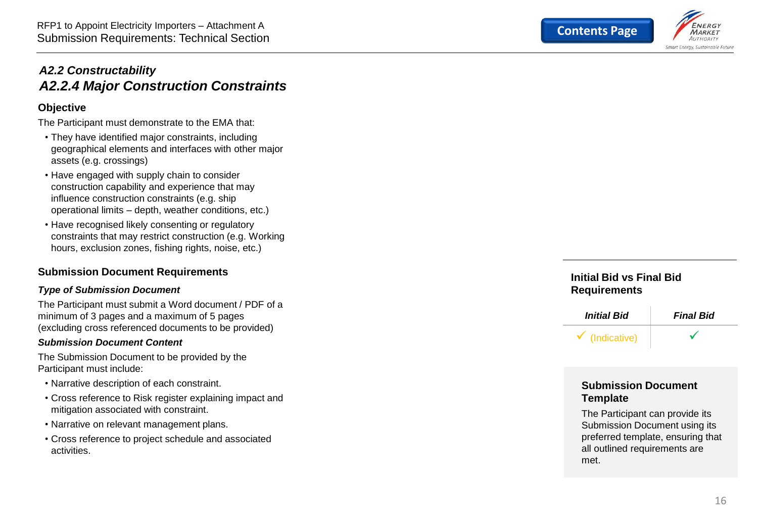

#### <span id="page-15-0"></span>*A2.2 Constructability A2.2.4 Major Construction Constraints*

#### **Objective**

The Participant must demonstrate to the EMA that:

- They have identified major constraints, including geographical elements and interfaces with other major assets (e.g. crossings)
- Have engaged with supply chain to consider construction capability and experience that may influence construction constraints (e.g. ship operational limits – depth, weather conditions, etc.)
- Have recognised likely consenting or regulatory constraints that may restrict construction (e.g. Working hours, exclusion zones, fishing rights, noise, etc.)

#### **Submission Document Requirements**

#### *Type of Submission Document*

The Participant must submit a Word document / PDF of a minimum of 3 pages and a maximum of 5 pages (excluding cross referenced documents to be provided)

#### *Submission Document Content*

The Submission Document to be provided by the Participant must include:

- Narrative description of each constraint.
- Cross reference to Risk register explaining impact and mitigation associated with constraint.
- Narrative on relevant management plans.
- Cross reference to project schedule and associated activities.

#### **Initial Bid vs Final Bid Requirements**



#### **Submission Document Template**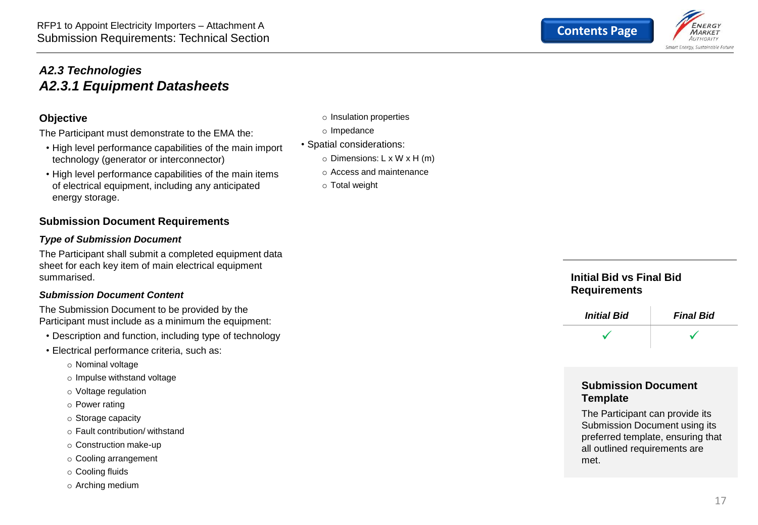#### <span id="page-16-0"></span>*A2.3 Technologies A2.3.1 Equipment Datasheets*

#### **Objective**

The Participant must demonstrate to the EMA the:

- High level performance capabilities of the main import technology (generator or interconnector)
- High level performance capabilities of the main items of electrical equipment, including any anticipated energy storage.

#### **Submission Document Requirements**

#### *Type of Submission Document*

The Participant shall submit a completed equipment data sheet for each key item of main electrical equipment summarised.

#### *Submission Document Content*

The Submission Document to be provided by the Participant must include as a minimum the equipment:

- Description and function, including type of technology
- Electrical performance criteria, such as:
	- o Nominal voltage
	- o Impulse withstand voltage
	- o Voltage regulation
	- o Power rating
	- o Storage capacity
	- o Fault contribution/ withstand
	- o Construction make-up
	- o Cooling arrangement
	- o Cooling fluids
	- o Arching medium
- o Insulation properties
- o Impedance
- Spatial considerations:
	- o Dimensions: L x W x H (m)
	- o Access and maintenance
	- o Total weight





#### **Submission Document Template**

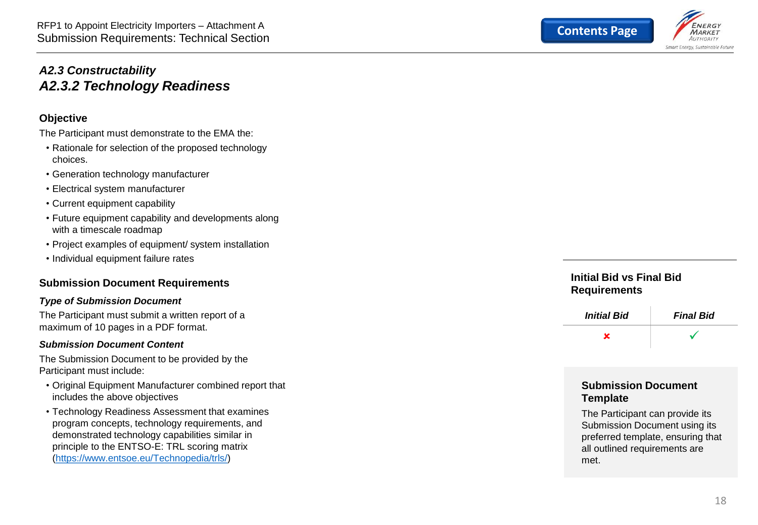

#### <span id="page-17-0"></span>*A2.3 Constructability A2.3.2 Technology Readiness*

#### **Objective**

The Participant must demonstrate to the EMA the:

- Rationale for selection of the proposed technology choices.
- Generation technology manufacturer Electrical system manufacturer
- 
- Current equipment capability
- Future equipment capability and developments along with a timescale roadmap
- Project examples of equipment/ system installation
- Individual equipment failure rates

#### **Submission Document Requirements**

#### *Type of Submission Document*

The Participant must submit a written report of a maximum of 10 pages in a PDF format.

#### *Submission Document Content*

The Submission Document to be provided by the Participant must include:

- Original Equipment Manufacturer combined report that includes the above objectives
- Technology Readiness Assessment that examines program concepts, technology requirements, and demonstrated technology capabilities similar in principle to the ENTSO -E: TRL scoring matrix [\(https://www.entsoe.eu/Technopedia/trls/](https://www.entsoe.eu/Technopedia/trls/) )

#### **Initial Bid vs Final Bid Requirements**



#### **Submission Document Template**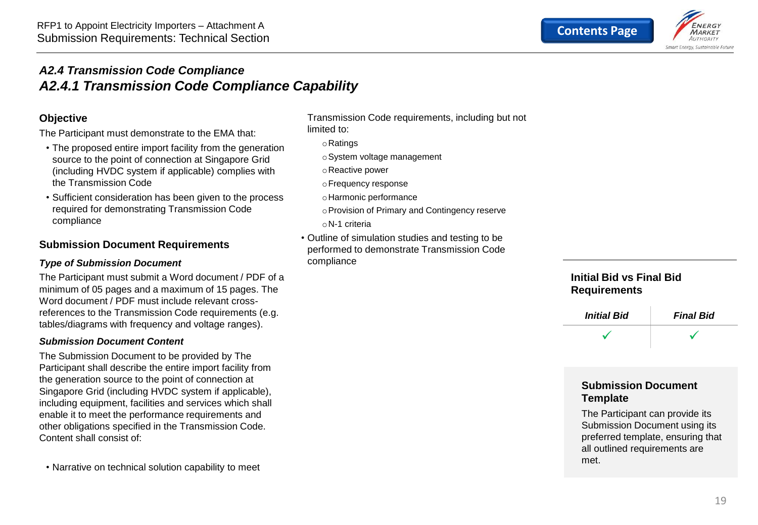

#### <span id="page-18-0"></span>*A2.4 Transmission Code Compliance A2.4.1 Transmission Code Compliance Capability*

#### **Objective**

The Participant must demonstrate to the EMA that:

- The proposed entire import facility from the generation source to the point of connection at Singapore Grid (including HVDC system if applicable) complies with the Transmission Code
- Sufficient consideration has been given to the process required for demonstrating Transmission Code compliance

#### **Submission Document Requirements**

#### *Type of Submission Document*

The Participant must submit a Word document / PDF of a minimum of 05 pages and a maximum of 15 pages. The Word document / PDF must include relevant crossreferences to the Transmission Code requirements (e.g. tables/diagrams with frequency and voltage ranges).

#### *Submission Document Content*

The Submission Document to be provided by The Participant shall describe the entire import facility from the generation source to the point of connection at Singapore Grid (including HVDC system if applicable), including equipment, facilities and services which shall enable it to meet the performance requirements and other obligations specified in the Transmission Code. Content shall consist of:

• Narrative on technical solution capability to meet

Transmission Code requirements, including but not limited to:

- oRatings
- oSystem voltage management
- oReactive power
- oFrequency response
- oHarmonic performance
- oProvision of Primary and Contingency reserve oN-1 criteria
- 
- Outline of simulation studies and testing to be performed to demonstrate Transmission Code compliance

#### **Initial Bid vs Final Bid Requirements**



#### **Submission Document Template**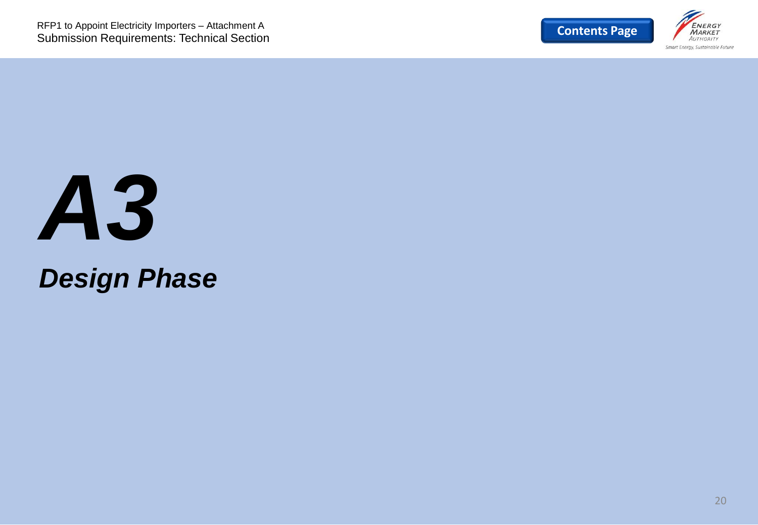

## *A3 Design Phase*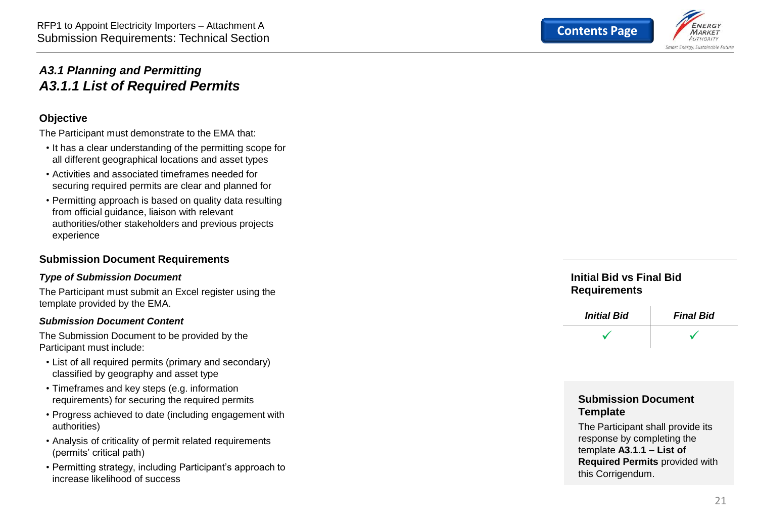

#### <span id="page-20-0"></span>*A3.1 Planning and Permitting A3.1.1 List of Required Permits*

#### **Objective**

The Participant must demonstrate to the EMA that:

- It has a clear understanding of the permitting scope for all different geographical locations and asset types
- Activities and associated timeframes needed for securing required permits are clear and planned for
- Permitting approach is based on quality data resulting from official guidance, liaison with relevant authorities/other stakeholders and previous projects experience

#### **Submission Document Requirements**

#### *Type of Submission Document*

The Participant must submit an Excel register using the template provided by the EMA.

#### *Submission Document Content*

The Submission Document to be provided by the Participant must include:

- List of all required permits (primary and secondary) classified by geography and asset type
- Timeframes and key steps (e.g. information requirements) for securing the required permits
- Progress achieved to date (including engagement with authorities)
- Analysis of criticality of permit related requirements (permits' critical path)
- Permitting strategy, including Participant's approach to increase likelihood of success

**Initial Bid vs Final Bid Requirements**



#### **Submission Document Template**

The Participant shall provide its response by completing the template **A3.1.1 – List of Required Permits** provided with this Corrigendum.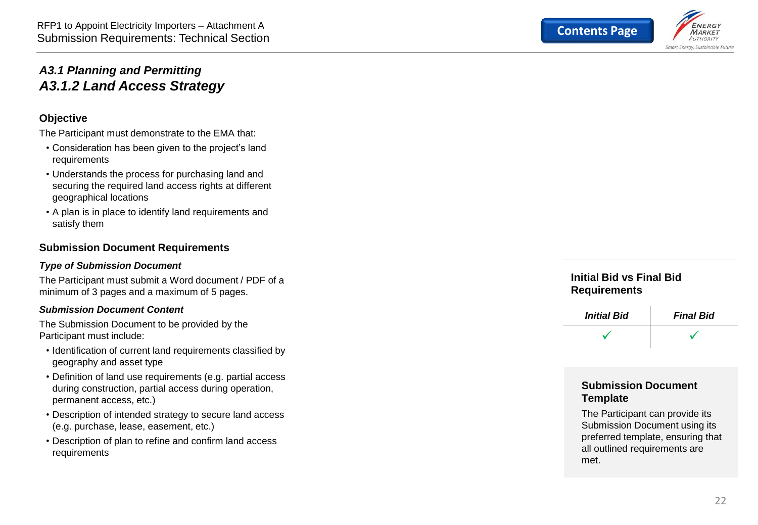

#### <span id="page-21-0"></span>*A3.1 Planning and Permitting A3.1.2 Land Access Strategy*

#### **Objective**

The Participant must demonstrate to the EMA that:

- Consideration has been given to the project's land requirements
- Understands the process for purchasing land and securing the required land access rights at different geographical locations
- A plan is in place to identify land requirements and satisfy them

#### **Submission Document Requirements**

#### *Type of Submission Document*

The Participant must submit a Word document / PDF of a minimum of 3 pages and a maximum of 5 pages.

#### *Submission Document Content*

The Submission Document to be provided by the Participant must include:

- Identification of current land requirements classified by geography and asset type
- Definition of land use requirements (e.g. partial access during construction, partial access during operation, permanent access, etc.)
- Description of intended strategy to secure land access (e.g. purchase, lease, easement, etc.)
- Description of plan to refine and confirm land access requirements

**Initial Bid vs Final Bid Requirements**



#### **Submission Document Template**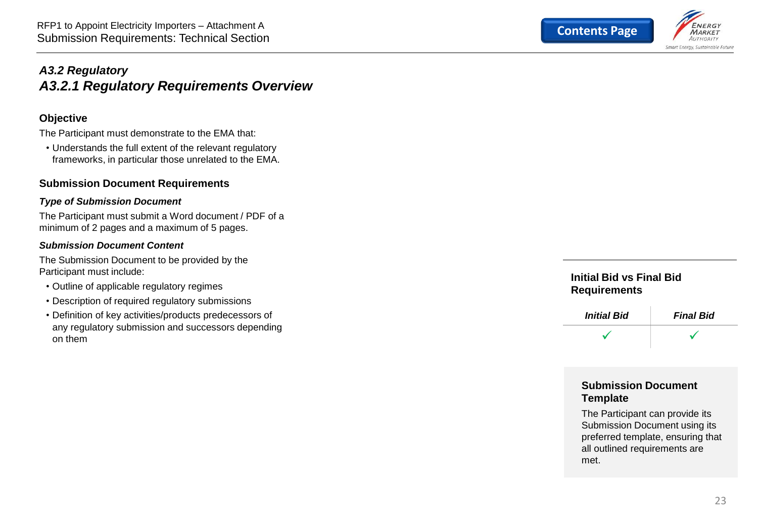

#### <span id="page-22-0"></span>*A3.2 Regulatory A3.2.1 Regulatory Requirements Overview*

#### **Objective**

The Participant must demonstrate to the EMA that:

• Understands the full extent of the relevant regulatory frameworks, in particular those unrelated to the EMA.

#### **Submission Document Requirements**

#### *Type of Submission Document*

The Participant must submit a Word document / PDF of a minimum of 2 pages and a maximum of 5 pages.

#### *Submission Document Content*

The Submission Document to be provided by the Participant must include:

- Outline of applicable regulatory regimes
- Description of required regulatory submissions
- Definition of key activities/products predecessors of any regulatory submission and successors depending on them

#### **Initial Bid vs Final Bid Requirements**



#### **Submission Document Template**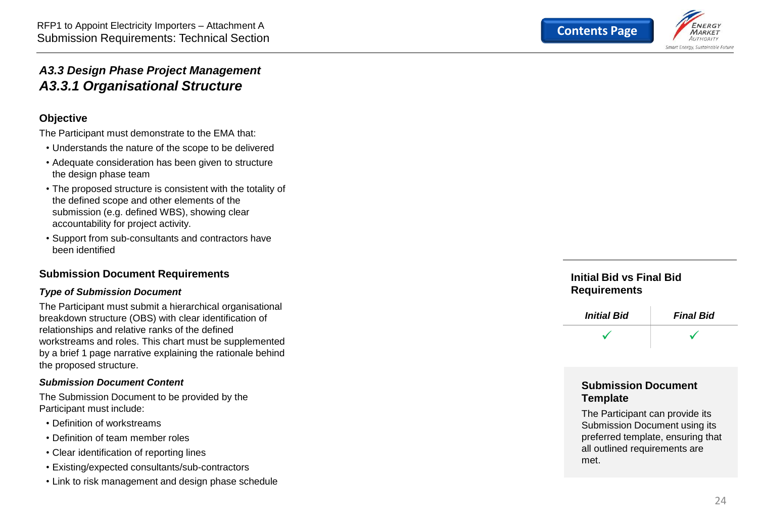

#### <span id="page-23-0"></span>*A3.3 Design Phase Project Management A3.3.1 Organisational Structure*

#### **Objective**

The Participant must demonstrate to the EMA that:

- Understands the nature of the scope to be delivered
- Adequate consideration has been given to structure the design phase team
- The proposed structure is consistent with the totality of the defined scope and other elements of the submission (e.g. defined WBS), showing clear accountability for project activity.
- Support from sub -consultants and contractors have been identified

#### **Submission Document Requirements**

#### *Type of Submission Document*

The Participant must submit a hierarchical organisational breakdown structure (OBS) with clear identification of relationships and relative ranks of the defined workstreams and roles. This chart must be supplemented by a brief 1 page narrative explaining the rationale behind the proposed structure.

#### *Submission Document Content*

The Submission Document to be provided by the Participant must include:

- Definition of workstreams
- Definition of team member roles
- Clear identification of reporting lines
- Existing/expected consultants/sub-contractors
- Link to risk management and design phase schedule

#### **Initial Bid vs Final Bid Requirements**



#### **Submission Document Template**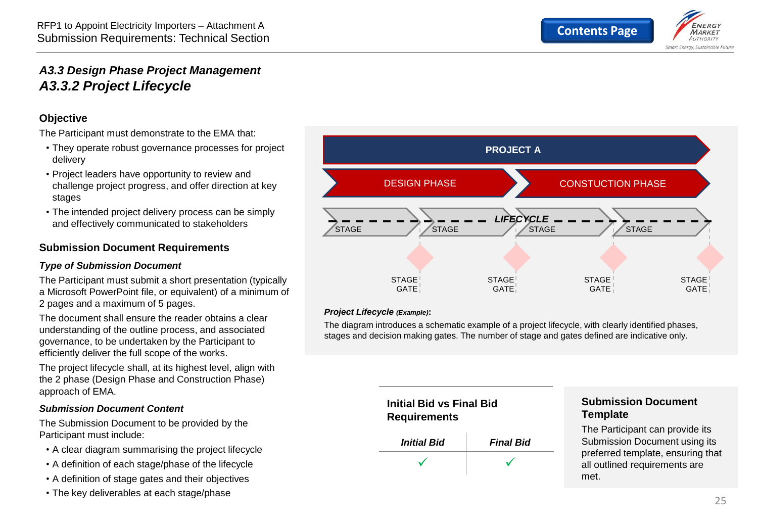

#### <span id="page-24-0"></span>*A3.3 Design Phase Project Management A3.3.2 Project Lifecycle*

#### **Objective**

The Participant must demonstrate to the EMA that:

- They operate robust governance processes for project delivery
- Project leaders have opportunity to review and challenge project progress, and offer direction at key stages
- The intended project delivery process can be simply and effectively communicated to stakeholders

#### **Submission Document Requirements**

#### *Type of Submission Document*

The Participant must submit a short presentation (typically a Microsoft PowerPoint file, or equivalent) of a minimum of 2 pages and a maximum of 5 pages.

The document shall ensure the reader obtains a clear understanding of the outline process, and associated governance, to be undertaken by the Participant to efficiently deliver the full scope of the works.

The project lifecycle shall, at its highest level, align with the 2 phase (Design Phase and Construction Phase) approach of EMA.

#### *Submission Document Content*

The Submission Document to be provided by the Participant must include:

- A clear diagram summarising the project lifecycle
- A definition of each stage/phase of the lifecycle
- A definition of stage gates and their objectives
- The key deliverables at each stage/phase



#### *Project Lifecycle (Example)***:**

The diagram introduces a schematic example of a project lifecycle, with clearly identified phases, stages and decision making gates. The number of stage and gates defined are indicative only.



#### **Submission Document Template**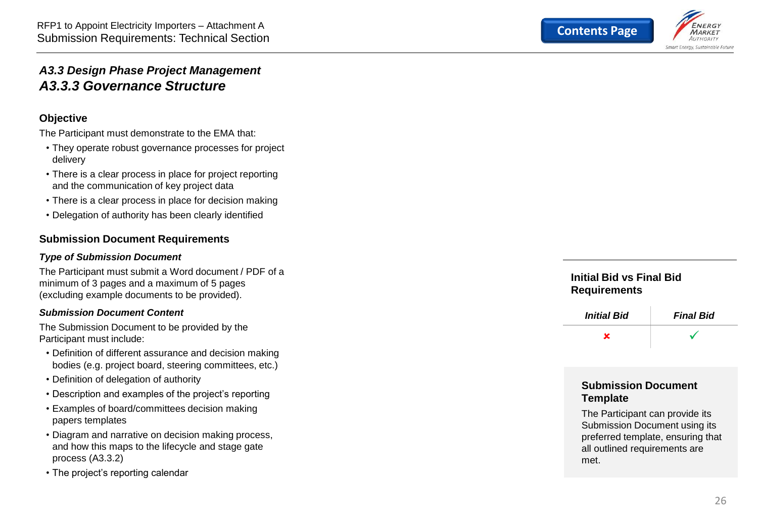

#### <span id="page-25-0"></span>*A3.3 Design Phase Project Management A3.3.3 Governance Structure*

#### **Objective**

The Participant must demonstrate to the EMA that:

- They operate robust governance processes for project delivery
- There is a clear process in place for project reporting and the communication of key project data
- There is a clear process in place for decision making
- Delegation of authority has been clearly identified

#### **Submission Document Requirements**

#### *Type of Submission Document*

The Participant must submit a Word document / PDF of a minimum of 3 pages and a maximum of 5 pages (excluding example documents to be provided).

#### *Submission Document Content*

The Submission Document to be provided by the Participant must include:

- Definition of different assurance and decision making bodies (e.g. project board, steering committees, etc.)
- Definition of delegation of authority
- Description and examples of the project's reporting Examples of board/committees decision making
- papers templates
- Diagram and narrative on decision making process, and how this maps to the lifecycle and stage gate process (A3.3.2)
- The project's reporting calendar

#### **Initial Bid vs Final Bid Requirements**



#### **Submission Document Template**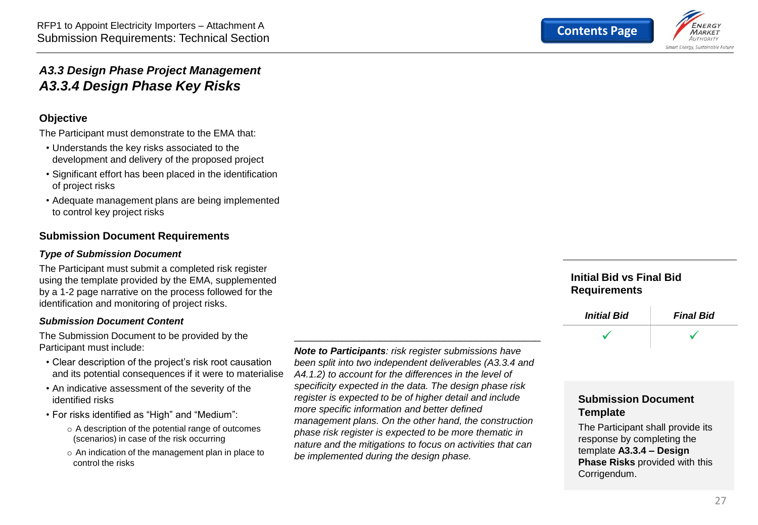

#### <span id="page-26-0"></span>*A3.3 Design Phase Project Management A3.3.4 Design Phase Key Risks*

#### **Objective**

The Participant must demonstrate to the EMA that:

- Understands the key risks associated to the development and delivery of the proposed project
- Significant effort has been placed in the identification of project risks
- Adequate management plans are being implemented to control key project risks

#### **Submission Document Requirements**

#### *Type of Submission Document*

The Participant must submit a completed risk register using the template provided by the EMA, supplemented by a 1-2 page narrative on the process followed for the identification and monitoring of project risks.

#### *Submission Document Content*

The Submission Document to be provided by the Participant must include:

- Clear description of the project's risk root causation and its potential consequences if it were to materialise
- An indicative assessment of the severity of the identified risks
- For risks identified as "High" and "Medium":
	- o A description of the potential range of outcomes (scenarios) in case of the risk occurring
	- o An indication of the management plan in place to control the risks

*Note to Participants: risk register submissions have been split into two independent deliverables (A3.3.4 and A4.1.2) to account for the differences in the level of specificity expected in the data. The design phase risk register is expected to be of higher detail and include more specific information and better defined management plans. On the other hand, the construction phase risk register is expected to be more thematic in nature and the mitigations to focus on activities that can be implemented during the design phase.* 

\_\_\_\_\_\_\_\_\_\_\_\_\_\_\_\_\_\_\_\_\_\_\_\_\_\_\_\_\_\_\_\_\_\_\_\_\_\_\_\_\_\_\_\_\_\_

#### **Initial Bid vs Final Bid Requirements**



#### **Submission Document Template**

The Participant shall provide its response by completing the template **A3.3.4 – Design Phase Risks** provided with this Corrigendum.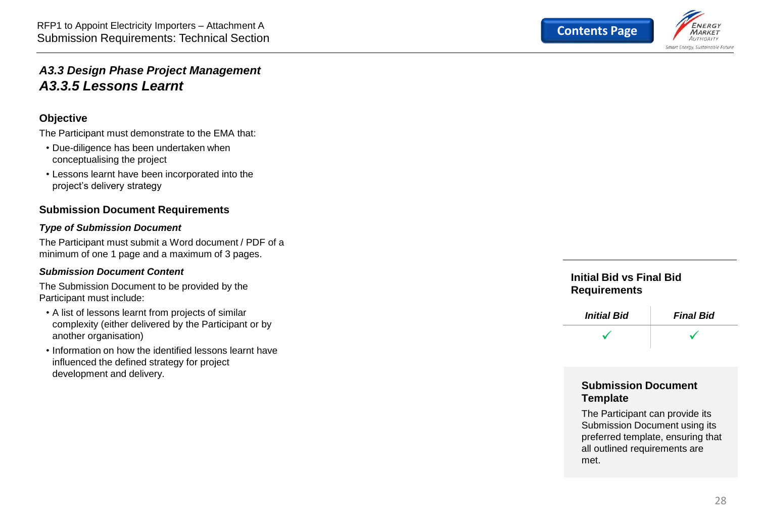

#### <span id="page-27-0"></span>*A3.3 Design Phase Project Management A3.3.5 Lessons Learnt*

#### **Objective**

The Participant must demonstrate to the EMA that:

- Due-diligence has been undertaken when conceptualising the project
- Lessons learnt have been incorporated into the project's delivery strategy

#### **Submission Document Requirements**

#### *Type of Submission Document*

The Participant must submit a Word document / PDF of a minimum of one 1 page and a maximum of 3 pages.

#### *Submission Document Content*

The Submission Document to be provided by the Participant must include:

- A list of lessons learnt from projects of similar complexity (either delivered by the Participant or by another organisation)
- Information on how the identified lessons learnt have influenced the defined strategy for project development and delivery.

#### **Initial Bid vs Final Bid Requirements**



#### **Submission Document Template**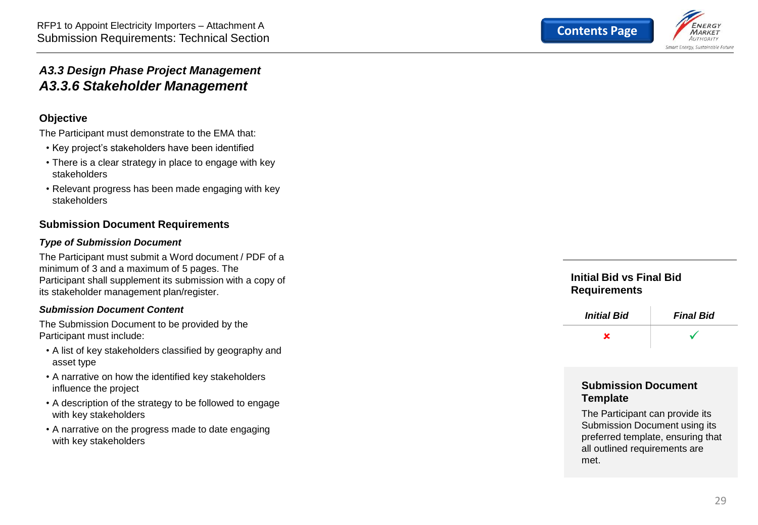

#### <span id="page-28-0"></span>*A3.3 Design Phase Project Management A3.3.6 Stakeholder Management*

#### **Objective**

The Participant must demonstrate to the EMA that:

- Key project's stakeholders have been identified
- There is a clear strategy in place to engage with key stakeholders
- Relevant progress has been made engaging with key stakeholders

#### **Submission Document Requirements**

#### *Type of Submission Document*

The Participant must submit a Word document / PDF of a minimum of 3 and a maximum of 5 pages. The Participant shall supplement its submission with a copy of its stakeholder management plan/register.

#### *Submission Document Content*

The Submission Document to be provided by the Participant must include:

- A list of key stakeholders classified by geography and asset type
- A narrative on how the identified key stakeholders influence the project
- A description of the strategy to be followed to engage with key stakeholders
- A narrative on the progress made to date engaging with key stakeholders

#### **Initial Bid vs Final Bid Requirements**



#### **Submission Document Template**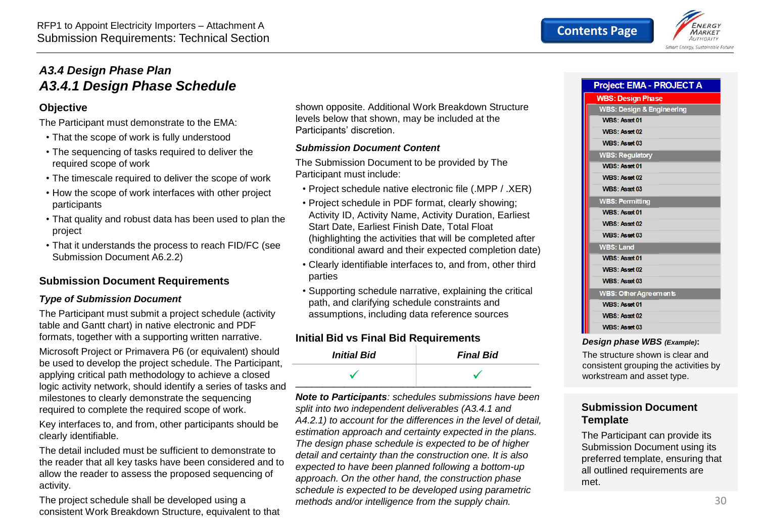<span id="page-29-0"></span>

#### **Objective**

The Participant must demonstrate to the EMA:

- That the scope of work is fully understood
- The sequencing of tasks required to deliver the required scope of work
- The timescale required to deliver the scope of work
- How the scope of work interfaces with other project participants
- That quality and robust data has been used to plan the project
- That it understands the process to reach FID/FC (see Submission Document A6.2.2)

#### **Submission Document Requirements**

#### *Type of Submission Document*

The Participant must submit a project schedule (activity table and Gantt chart) in native electronic and PDF formats, together with a supporting written narrative.

Microsoft Project or Primavera P6 (or equivalent) should be used to develop the project schedule. The Participant, applying critical path methodology to achieve a closed logic activity network, should identify a series of tasks and milestones to clearly demonstrate the sequencing required to complete the required scope of work.

Key interfaces to, and from, other participants should be clearly identifiable.

The detail included must be sufficient to demonstrate to the reader that all key tasks have been considered and to allow the reader to assess the proposed sequencing of activity.

The project schedule shall be developed using a consistent Work Breakdown Structure, equivalent to that shown opposite. Additional Work Breakdown Structure levels below that shown, may be included at the Participants' discretion.

#### *Submission Document Content*

The Submission Document to be provided by The Participant must include:

- Project schedule native electronic file (.MPP / .XER)
- Project schedule in PDF format, clearly showing; Activity ID, Activity Name, Activity Duration, Earliest Start Date, Earliest Finish Date, Total Float (highlighting the activities that will be completed after conditional award and their expected completion date)
- Clearly identifiable interfaces to, and from, other third parties
- Supporting schedule narrative, explaining the critical path, and clarifying schedule constraints and assumptions, including data reference sources

#### **Initial Bid vs Final Bid Requirements**

| <b>Initial Bid</b> | <b>Final Bid</b> |
|--------------------|------------------|
|                    |                  |

*Note to Participants: schedules submissions have been split into two independent deliverables (A3.4.1 and A4.2.1) to account for the differences in the level of detail, estimation approach and certainty expected in the plans. The design phase schedule is expected to be of higher detail and certainty than the construction one. It is also expected to have been planned following a bottom-up approach. On the other hand, the construction phase schedule is expected to be developed using parametric methods and/or intelligence from the supply chain.* 

| <b>Project: EMA - PROJECT A</b>      |  |
|--------------------------------------|--|
| <b>WBS: Design Phase</b>             |  |
| <b>WBS: Design &amp; Engineering</b> |  |
| <b>WBS: Asset 01</b>                 |  |
| WBS: Asset 02                        |  |
| <b>WBS: Asset 03</b>                 |  |
| <b>WBS: Regulatory</b>               |  |
| WBS: Asset 01                        |  |
| <b>WBS: Asset 02</b>                 |  |
| <b>WBS: Asset 03</b>                 |  |
| <b>WBS: Permitting</b>               |  |
| WBS: Asset 01                        |  |
| <b>WBS: Asset 02</b>                 |  |
| <b>WBS: Asset 03</b>                 |  |
| <b>WBS: Land</b>                     |  |
| <b>WBS: Asset 01</b>                 |  |
| WBS: Asset 02                        |  |
| <b>WBS: Asset 03</b>                 |  |
| <b>WBS: Other Agreements</b>         |  |
| <b>WBS: Asset 01</b>                 |  |
| WBS: Asset 02                        |  |
| <b>WBS: Asset 03</b>                 |  |
| Design phase WBS (Example):          |  |

The structure shown is clear and consistent grouping the activities by workstream and asset type.

#### **Submission Document Template**

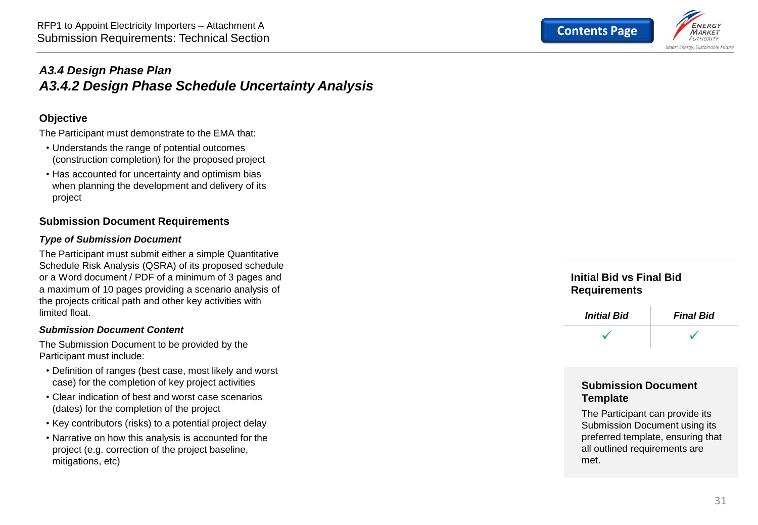

#### <span id="page-30-0"></span>*A3.4 Design Phase Plan A3.4.2 Design Phase Schedule Uncertainty Analysis*

#### **Objective**

The Participant must demonstrate to the EMA that:

- Understands the range of potential outcomes (construction completion) for the proposed project
- Has accounted for uncertainty and optimism bias when planning the development and delivery of its project

#### **Submission Document Requirements**

#### *Type of Submission Document*

The Participant must submit either a simple Quantitative Schedule Risk Analysis (QSRA) of its proposed schedule or a Word document / PDF of a minimum of 3 pages and a maximum of 10 pages providing a scenario analysis of the projects critical path and other key activities with limited float.

#### *Submission Document Content*

The Submission Document to be provided by the Participant must include:

- Definition of ranges (best case, most likely and worst case) for the completion of key project activities
- Clear indication of best and worst case scenarios (dates) for the completion of the project
- Key contributors (risks) to a potential project delay
- Narrative on how this analysis is accounted for the project (e.g. correction of the project baseline, mitigations, etc)

**Initial Bid vs Final Bid Requirements**



#### **Submission Document Template**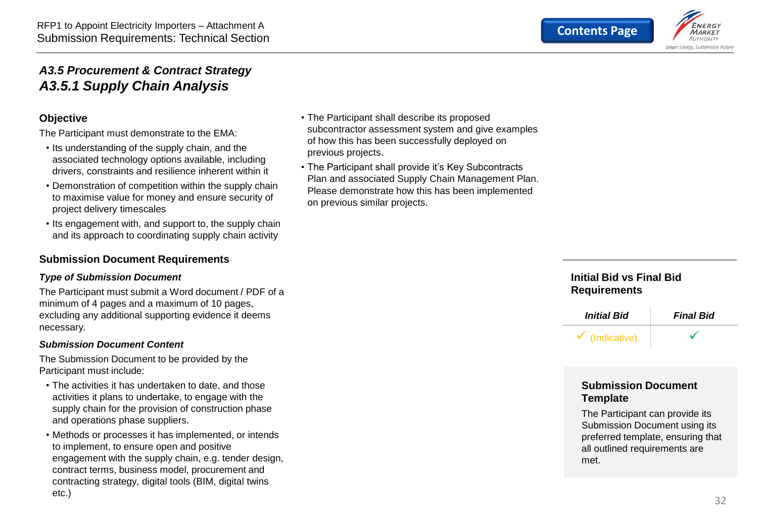

#### <span id="page-31-0"></span>*A3.5 Procurement & Contract Strategy A3.5.1 Supply Chain Analysis*

#### **Objective**

The Participant must demonstrate to the EMA:

- Its understanding of the supply chain, and the associated technology options available, including drivers, constraints and resilience inherent within it
- Demonstration of competition within the supply chain to maximise value for money and ensure security of project delivery timescales
- Its engagement with, and support to, the supply chain and its approach to coordinating supply chain activity

#### **Submission Document Requirements**

#### *Type of Submission Document*

The Participant must submit a Word document / PDF of a minimum of 4 pages and a maximum of 10 pages, excluding any additional supporting evidence it deems necessary.

#### *Submission Document Content*

The Submission Document to be provided by the Participant must include:

- The activities it has undertaken to date, and those activities it plans to undertake, to engage with the supply chain for the provision of construction phase and operations phase suppliers.
- Methods or processes it has implemented, or intends to implement, to ensure open and positive engagement with the supply chain, e.g. tender design, contract terms, business model, procurement and contracting strategy, digital tools (BIM, digital twins etc.)
- The Participant shall describe its proposed subcontractor assessment system and give examples of how this has been successfully deployed on previous projects.
- The Participant shall provide it's Key Subcontracts Plan and associated Supply Chain Management Plan. Please demonstrate how this has been implemented on previous similar projects.

#### **Initial Bid vs Final Bid Requirements**



#### **Submission Document Template**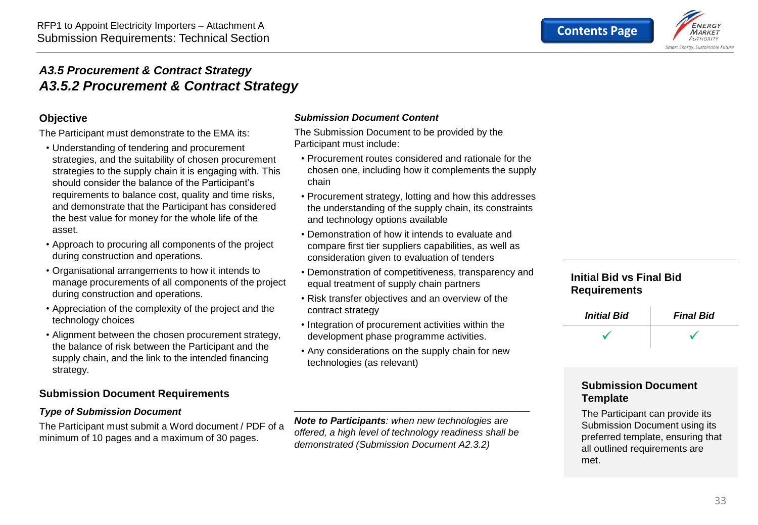

#### <span id="page-32-0"></span>*A3.5 Procurement & Contract Strategy A3.5.2 Procurement & Contract Strategy*

#### **Objective**

The Participant must demonstrate to the EMA its:

- Understanding of tendering and procurement strategies, and the suitability of chosen procurement strategies to the supply chain it is engaging with. This should consider the balance of the Participant's requirements to balance cost, quality and time risks, and demonstrate that the Participant has considered the best value for money for the whole life of the asset.
- Approach to procuring all components of the project during construction and operations.
- Organisational arrangements to how it intends to manage procurements of all components of the project during construction and operations.
- Appreciation of the complexity of the project and the technology choices
- Alignment between the chosen procurement strategy, the balance of risk between the Participant and the supply chain, and the link to the intended financing strategy.

#### **Submission Document Requirements**

#### *Type of Submission Document*

The Participant must submit a Word document / PDF of a minimum of 10 pages and a maximum of 30 pages.

#### *Submission Document Content*

The Submission Document to be provided by the Participant must include:

- Procurement routes considered and rationale for the chosen one, including how it complements the supply chain
- Procurement strategy, lotting and how this addresses the understanding of the supply chain, its constraints and technology options available
- Demonstration of how it intends to evaluate and compare first tier suppliers capabilities, as well as consideration given to evaluation of tenders
- Demonstration of competitiveness, transparency and equal treatment of supply chain partners
- Risk transfer objectives and an overview of the contract strategy
- Integration of procurement activities within the development phase programme activities.
- Any considerations on the supply chain for new technologies (as relevant)

*Note to Participants: when new technologies are offered, a high level of technology readiness shall be demonstrated (Submission Document A2.3.2)*

\_\_\_\_\_\_\_\_\_\_\_\_\_\_\_\_\_\_\_\_\_\_\_\_\_\_\_\_\_\_\_\_\_\_\_\_\_\_\_\_\_\_\_\_

#### **Initial Bid vs Final Bid Requirements**



#### **Submission Document Template**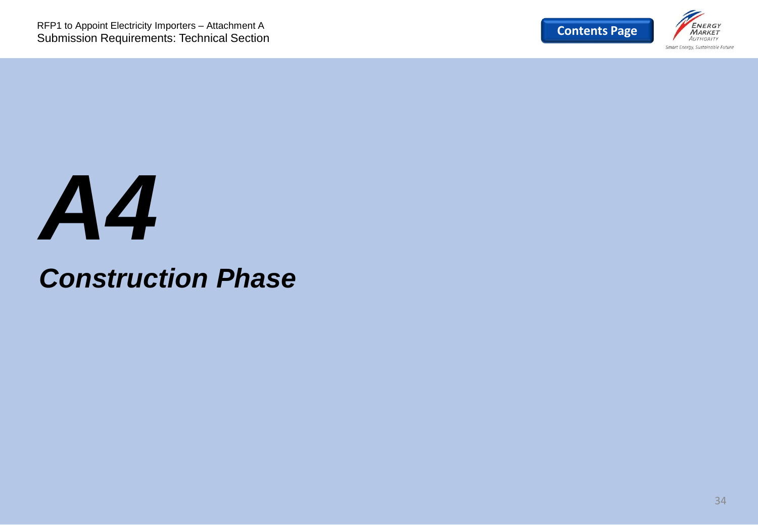

## *A4*

## *Construction Phase*

34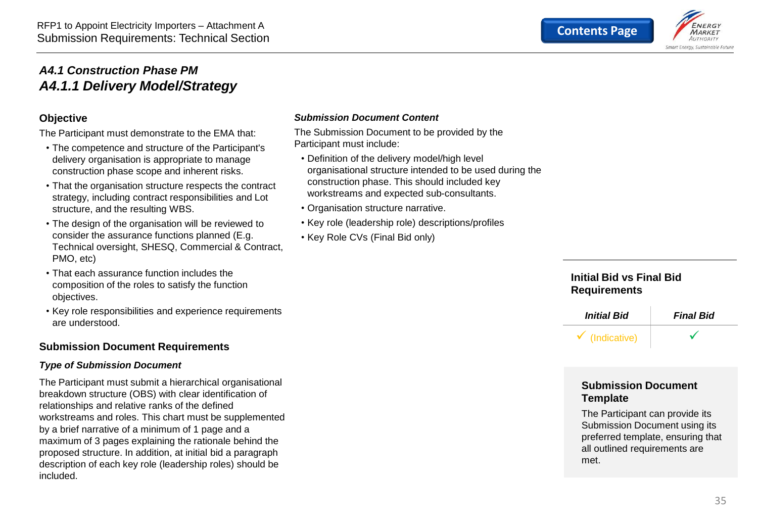

#### <span id="page-34-0"></span>*A4.1 Construction Phase PM A4.1.1 Delivery Model/Strategy*

#### **Objective**

The Participant must demonstrate to the EMA that:

- The competence and structure of the Participant's delivery organisation is appropriate to manage construction phase scope and inherent risks.
- That the organisation structure respects the contract strategy, including contract responsibilities and Lot structure, and the resulting WBS.
- The design of the organisation will be reviewed to consider the assurance functions planned (E.g. Technical oversight, SHESQ, Commercial & Contract, PMO, etc)
- That each assurance function includes the composition of the roles to satisfy the function objectives.
- Key role responsibilities and experience requirements are understood.

#### **Submission Document Requirements**

#### *Type of Submission Document*

The Participant must submit a hierarchical organisational breakdown structure (OBS) with clear identification of relationships and relative ranks of the defined workstreams and roles. This chart must be supplemented by a brief narrative of a minimum of 1 page and a maximum of 3 pages explaining the rationale behind the proposed structure. In addition, at initial bid a paragraph description of each key role (leadership roles) should be included.

#### *Submission Document Content*

The Submission Document to be provided by the Participant must include:

- Definition of the delivery model/high level organisational structure intended to be used during the construction phase. This should included key workstreams and expected sub-consultants.
- Organisation structure narrative.
- Key role (leadership role) descriptions/profiles
- Key Role CVs (Final Bid only)

#### **Initial Bid vs Final Bid Requirements**



#### **Submission Document Template**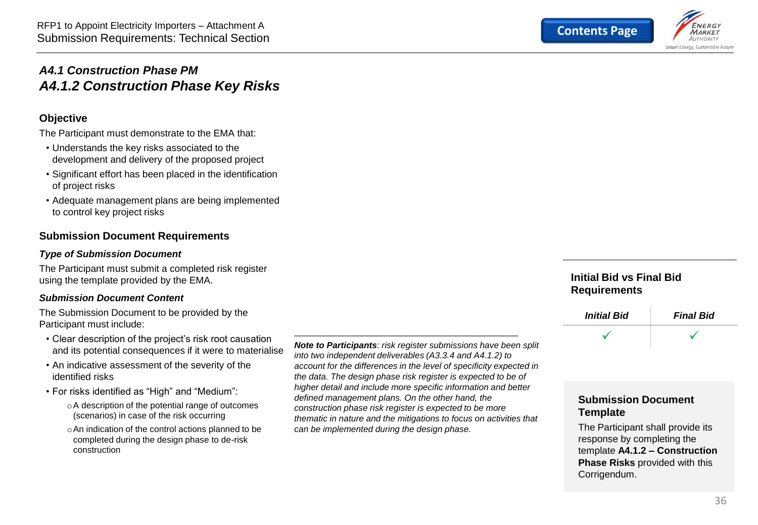

#### <span id="page-35-0"></span>*A4.1 Construction Phase PM A4.1.2 Construction Phase Key Risks*

#### **Objective**

The Participant must demonstrate to the EMA that:

- Understands the key risks associated to the development and delivery of the proposed project
- Significant effort has been placed in the identification of project risks
- Adequate management plans are being implemented to control key project risks

#### **Submission Document Requirements**

#### *Type of Submission Document*

The Participant must submit a completed risk register using the template provided by the EMA.

#### *Submission Document Content*

The Submission Document to be provided by the Participant must include:

- Clear description of the project's risk root causation and its potential consequences if it were to materialise
- An indicative assessment of the severity of the identified risks
- For risks identified as "High" and "Medium":
	- oA description of the potential range of outcomes (scenarios) in case of the risk occurring
	- oAn indication of the control actions planned to be completed during the design phase to de-risk construction

*Note to Participants: risk register submissions have been split into two independent deliverables (A3.3.4 and A4.1.2) to account for the differences in the level of specificity expected in the data. The design phase risk register is expected to be of higher detail and include more specific information and better defined management plans. On the other hand, the construction phase risk register is expected to be more thematic in nature and the mitigations to focus on activities that can be implemented during the design phase.* 

\_\_\_\_\_\_\_\_\_\_\_\_\_\_\_\_\_\_\_\_\_\_\_\_\_\_\_\_\_\_\_\_\_\_\_\_\_\_\_\_\_\_\_\_\_\_

#### **Initial Bid vs Final Bid Requirements**



#### **Submission Document Template**

The Participant shall provide its response by completing the template **A4.1.2 – Construction Phase Risks** provided with this Corrigendum.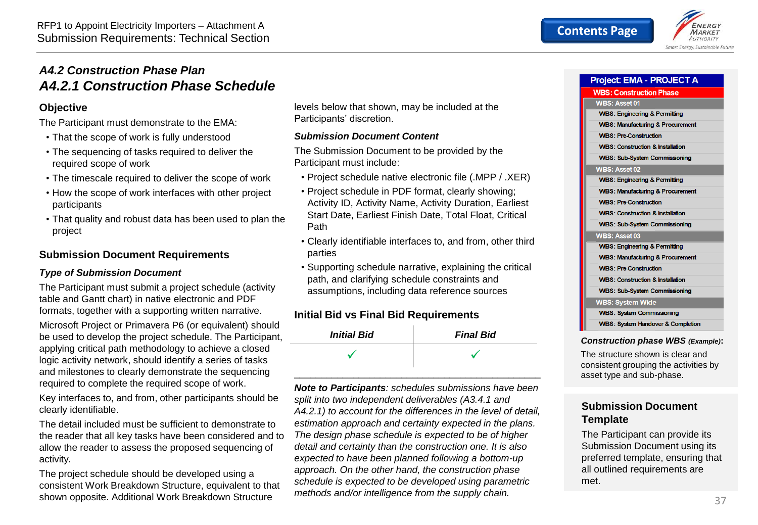<span id="page-36-0"></span>

#### **Objective**

The Participant must demonstrate to the EMA:

- That the scope of work is fully understood
- The sequencing of tasks required to deliver the required scope of work
- The timescale required to deliver the scope of work
- How the scope of work interfaces with other project participants
- That quality and robust data has been used to plan the project

#### **Submission Document Requirements**

#### *Type of Submission Document*

The Participant must submit a project schedule (activity table and Gantt chart) in native electronic and PDF formats, together with a supporting written narrative.

Microsoft Project or Primavera P6 (or equivalent) should be used to develop the project schedule. The Participant, applying critical path methodology to achieve a closed logic activity network, should identify a series of tasks and milestones to clearly demonstrate the sequencing required to complete the required scope of work.

Key interfaces to, and from, other participants should be clearly identifiable.

The detail included must be sufficient to demonstrate to the reader that all key tasks have been considered and to allow the reader to assess the proposed sequencing of activity.

The project schedule should be developed using a consistent Work Breakdown Structure, equivalent to that shown opposite. Additional Work Breakdown Structure

levels below that shown, may be included at the Participants' discretion.

#### *Submission Document Content*

The Submission Document to be provided by the Participant must include:

- Project schedule native electronic file (.MPP / .XER)
- Project schedule in PDF format, clearly showing; Activity ID, Activity Name, Activity Duration, Earliest Start Date, Earliest Finish Date, Total Float, Critical Path
- Clearly identifiable interfaces to, and from, other third parties
- Supporting schedule narrative, explaining the critical path, and clarifying schedule constraints and assumptions, including data reference sources

#### **Initial Bid vs Final Bid Requirements**



*Note to Participants: schedules submissions have been split into two independent deliverables (A3.4.1 and A4.2.1) to account for the differences in the level of detail, estimation approach and certainty expected in the plans. The design phase schedule is expected to be of higher detail and certainty than the construction one. It is also expected to have been planned following a bottom-up approach. On the other hand, the construction phase schedule is expected to be developed using parametric methods and/or intelligence from the supply chain.* 

| Project: EMA - PROJECT A                     |
|----------------------------------------------|
| <b>WBS: Construction Phase</b>               |
| <b>WBS: Asset 01</b>                         |
| <b>WBS: Engineering &amp; Permitting</b>     |
| <b>WBS: Manufacturing &amp; Procurement</b>  |
| <b>WBS: Pre-Construction</b>                 |
| <b>WBS: Construction &amp; Installation</b>  |
| <b>WBS: Sub-System Commissioning</b>         |
| <b>WBS: Asset 02</b>                         |
| <b>WBS: Engineering &amp; Permitting</b>     |
| <b>WBS: Manufacturing &amp; Procurement</b>  |
| <b>WBS: Pre-Construction</b>                 |
| <b>WBS: Construction &amp; Installation</b>  |
| <b>WBS: Sub-System Commissioning</b>         |
| WBS: Asset 03                                |
| <b>WBS: Engineering &amp; Permitting</b>     |
| <b>WBS: Manufacturing &amp; Procurement</b>  |
| <b>WBS: Pre-Construction</b>                 |
| <b>WBS: Construction &amp; Installation</b>  |
| <b>WBS: Sub-System Commissioning</b>         |
| <b>WBS: System Wide</b>                      |
| <b>WBS: System Commissioning</b>             |
| <b>WBS: System Handover &amp; Completion</b> |
|                                              |

#### *Construction phase WBS (Example)***:**

The structure shown is clear and consistent grouping the activities by asset type and sub-phase.

#### **Submission Document Template**

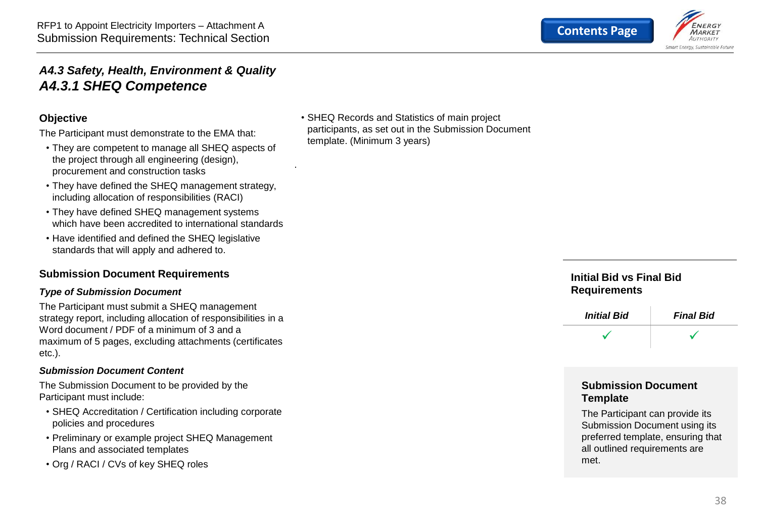

#### <span id="page-37-0"></span>*A4.3 Safety, Health, Environment & Quality A4.3.1 SHEQ Competence*

#### **Objective**

The Participant must demonstrate to the EMA that:

- They are competent to manage all SHEQ aspects of the project through all engineering (design), procurement and construction tasks
- They have defined the SHEQ management strategy, including allocation of responsibilities (RACI)
- They have defined SHEQ management systems which have been accredited to international standards
- Have identified and defined the SHEQ legislative standards that will apply and adhered to.

#### **Submission Document Requirements**

#### *Type of Submission Document*

The Participant must submit a SHEQ management strategy report, including allocation of responsibilities in a Word document / PDF of a minimum of 3 and a maximum of 5 pages, excluding attachments (certificates etc.).

#### *Submission Document Content*

The Submission Document to be provided by the Participant must include:

- SHEQ Accreditation / Certification including corporate policies and procedures
- Preliminary or example project SHEQ Management Plans and associated templates
- Org / RACI / CVs of key SHEQ roles

• SHEQ Records and Statistics of main project participants, as set out in the Submission Document template. (Minimum 3 years)

.

#### **Initial Bid vs Final Bid Requirements**



#### **Submission Document Template**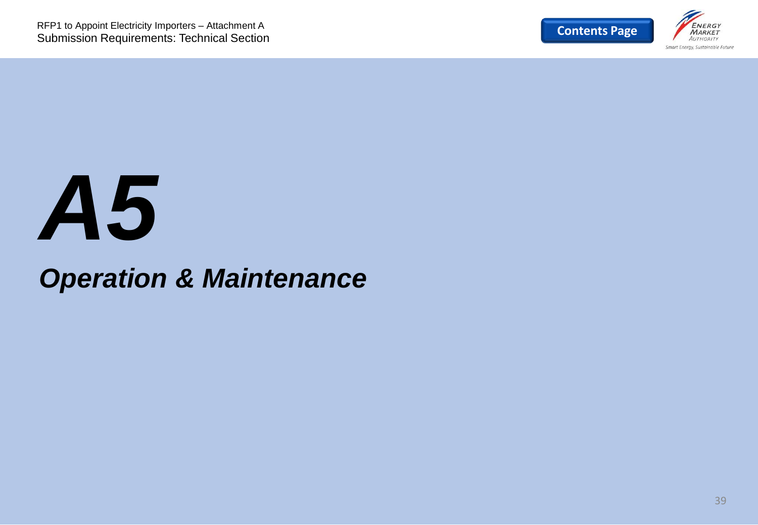

## *A5*

## *Operation & Maintenance*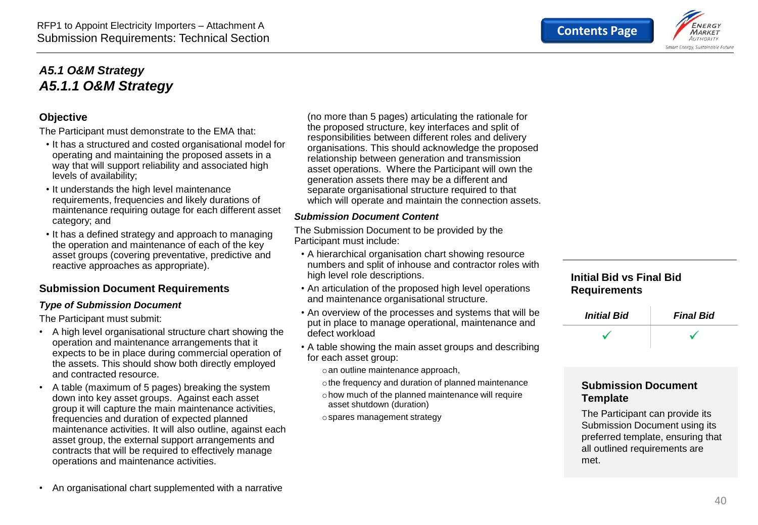

#### <span id="page-39-0"></span>*A5.1 O&M Strategy A5.1.1 O&M Strategy*

#### **Objective**

The Participant must demonstrate to the EMA that:

- It has a structured and costed organisational model for operating and maintaining the proposed assets in a way that will support reliability and associated high levels of availability;
- It understands the high level maintenance requirements, frequencies and likely durations of maintenance requiring outage for each different asset category; and
- It has a defined strategy and approach to managing the operation and maintenance of each of the key asset groups (covering preventative, predictive and reactive approaches as appropriate).

#### **Submission Document Requirements**

#### *Type of Submission Document*

The Participant must submit:

- A high level organisational structure chart showing the operation and maintenance arrangements that it expects to be in place during commercial operation of the assets. This should show both directly employed and contracted resource.
- A table (maximum of 5 pages) breaking the system down into key asset groups. Against each asset group it will capture the main maintenance activities, frequencies and duration of expected planned maintenance activities. It will also outline, against each asset group, the external support arrangements and contracts that will be required to effectively manage operations and maintenance activities.

(no more than 5 pages) articulating the rationale for the proposed structure, key interfaces and split of responsibilities between different roles and delivery organisations. This should acknowledge the proposed relationship between generation and transmission asset operations. Where the Participant will own the generation assets there may be a different and separate organisational structure required to that which will operate and maintain the connection assets.

#### *Submission Document Content*

The Submission Document to be provided by the Participant must include:

- A hierarchical organisation chart showing resource numbers and split of inhouse and contractor roles with high level role descriptions.
- An articulation of the proposed high level operations and maintenance organisational structure.
- An overview of the processes and systems that will be put in place to manage operational, maintenance and defect workload
- A table showing the main asset groups and describing for each asset group:
	- oan outline maintenance approach,
	- othe frequency and duration of planned maintenance
	- ohow much of the planned maintenance will require asset shutdown (duration)
	- ospares management strategy

#### **Initial Bid vs Final Bid Requirements**

| <b>Initial Bid</b> | <b>Final Bid</b> |
|--------------------|------------------|
|                    |                  |

#### **Submission Document Template**

The Participant can provide its Submission Document using its preferred template, ensuring that all outlined requirements are met.

• An organisational chart supplemented with a narrative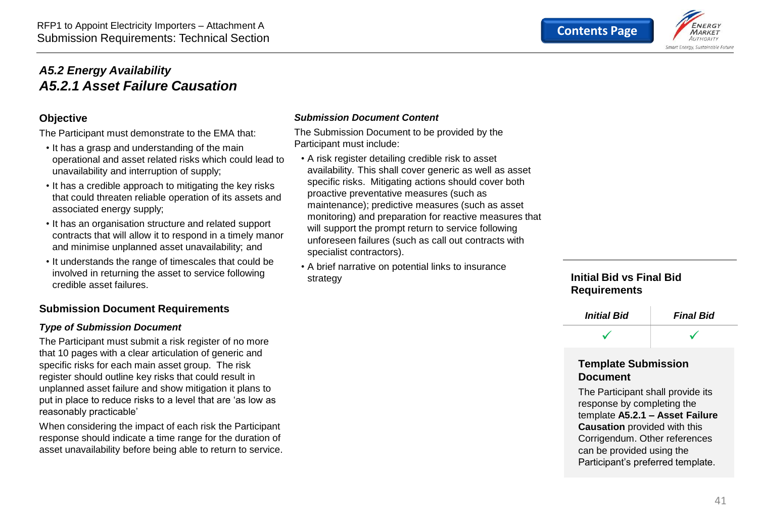

#### <span id="page-40-0"></span>*A5.2 Energy Availability A5.2.1 Asset Failure Causation*

#### **Objective**

The Participant must demonstrate to the EMA that:

- It has a grasp and understanding of the main operational and asset related risks which could lead to unavailability and interruption of supply;
- It has a credible approach to mitigating the key risks that could threaten reliable operation of its assets and associated energy supply;
- It has an organisation structure and related support contracts that will allow it to respond in a timely manor and minimise unplanned asset unavailability; and
- It understands the range of timescales that could be involved in returning the asset to service following credible asset failures.

#### **Submission Document Requirements**

#### *Type of Submission Document*

The Participant must submit a risk register of no more that 10 pages with a clear articulation of generic and specific risks for each main asset group. The risk register should outline key risks that could result in unplanned asset failure and show mitigation it plans to put in place to reduce risks to a level that are 'as low as reasonably practicable'

When considering the impact of each risk the Participant response should indicate a time range for the duration of asset unavailability before being able to return to service.

#### *Submission Document Content*

The Submission Document to be provided by the Participant must include:

- A risk register detailing credible risk to asset availability. This shall cover generic as well as asset specific risks. Mitigating actions should cover both proactive preventative measures (such as maintenance); predictive measures (such as asset monitoring) and preparation for reactive measures that will support the prompt return to service following unforeseen failures (such as call out contracts with specialist contractors).
- A brief narrative on potential links to insurance strategy

#### **Initial Bid vs Final Bid Requirements**



#### **Template Submission Document**

The Participant shall provide its response by completing the template **A5.2.1 – Asset Failure Causation** provided with this Corrigendum. Other references can be provided using the Participant's preferred template.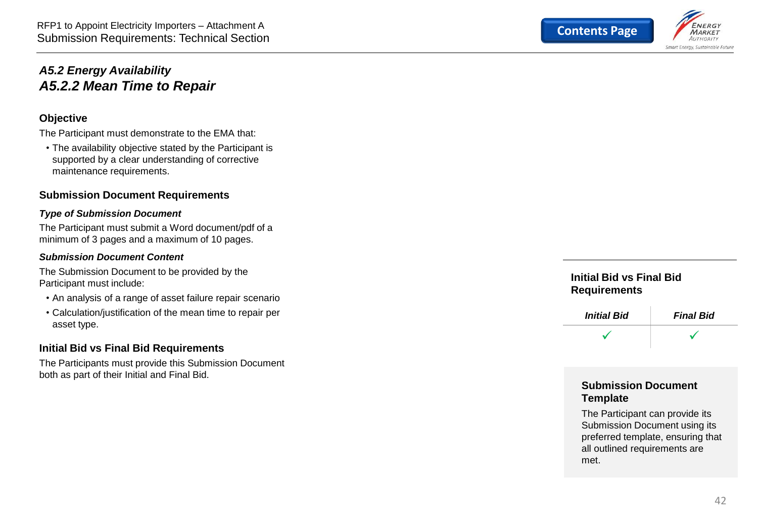<span id="page-41-0"></span>

#### **Objective**

The Participant must demonstrate to the EMA that:

• The availability objective stated by the Participant is supported by a clear understanding of corrective maintenance requirements.

#### **Submission Document Requirements**

#### *Type of Submission Document*

The Participant must submit a Word document/pdf of a minimum of 3 pages and a maximum of 10 pages.

#### *Submission Document Content*

The Submission Document to be provided by the Participant must include:

- An analysis of a range of asset failure repair scenario
- Calculation/justification of the mean time to repair per asset type.

#### **Initial Bid vs Final Bid Requirements**

The Participants must provide this Submission Document both as part of their Initial and Final Bid.



#### **Initial Bid vs Final Bid Requirements**



#### **Submission Document Template**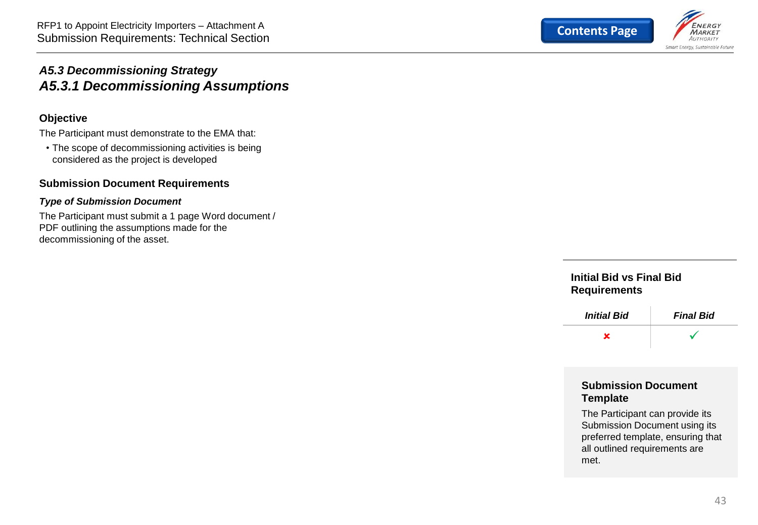

#### <span id="page-42-0"></span>*A5.3 Decommissioning Strategy A5.3.1 Decommissioning Assumptions*

#### **Objective**

The Participant must demonstrate to the EMA that:

• The scope of decommissioning activities is being considered as the project is developed

#### **Submission Document Requirements**

#### *Type of Submission Document*

The Participant must submit a 1 page Word document / PDF outlining the assumptions made for the decommissioning of the asset.

#### **Initial Bid vs Final Bid Requirements**



#### **Submission Document Template**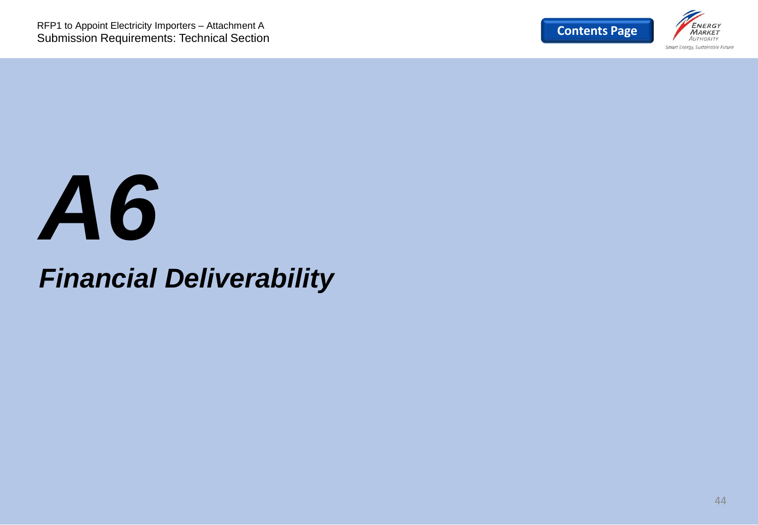

# *A6*

## *Financial Deliverability*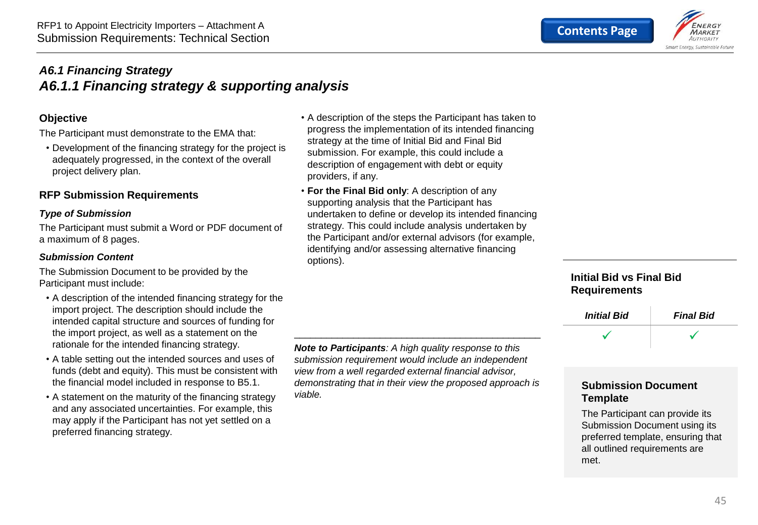

#### <span id="page-44-0"></span>*A6.1 Financing Strategy A6.1.1 Financing strategy & supporting analysis*

#### **Objective**

The Participant must demonstrate to the EMA that:

• Development of the financing strategy for the project is adequately progressed, in the context of the overall project delivery plan.

#### **RFP Submission Requirements**

#### *Type of Submission*

The Participant must submit a Word or PDF document of a maximum of 8 pages.

#### *Submission Content*

The Submission Document to be provided by the Participant must include:

- A description of the intended financing strategy for the import project. The description should include the intended capital structure and sources of funding for the import project, as well as a statement on the rationale for the intended financing strategy.
- A table setting out the intended sources and uses of funds (debt and equity). This must be consistent with the financial model included in response to B5.1.
- A statement on the maturity of the financing strategy and any associated uncertainties. For example, this may apply if the Participant has not yet settled on a preferred financing strategy.
- A description of the steps the Participant has taken to progress the implementation of its intended financing strategy at the time of Initial Bid and Final Bid submission. For example, this could include a description of engagement with debt or equity providers, if any.
- **For the Final Bid only**: A description of any supporting analysis that the Participant has undertaken to define or develop its intended financing strategy. This could include analysis undertaken by the Participant and/or external advisors (for example, identifying and/or assessing alternative financing options).

*Note to Participants: A high quality response to this submission requirement would include an independent view from a well regarded external financial advisor, demonstrating that in their view the proposed approach is viable.*

\_\_\_\_\_\_\_\_\_\_\_\_\_\_\_\_\_\_\_\_\_\_\_\_\_\_\_\_\_\_\_\_\_\_\_\_\_\_\_\_\_\_\_\_\_\_

#### **Initial Bid vs Final Bid Requirements**



#### **Submission Document Template**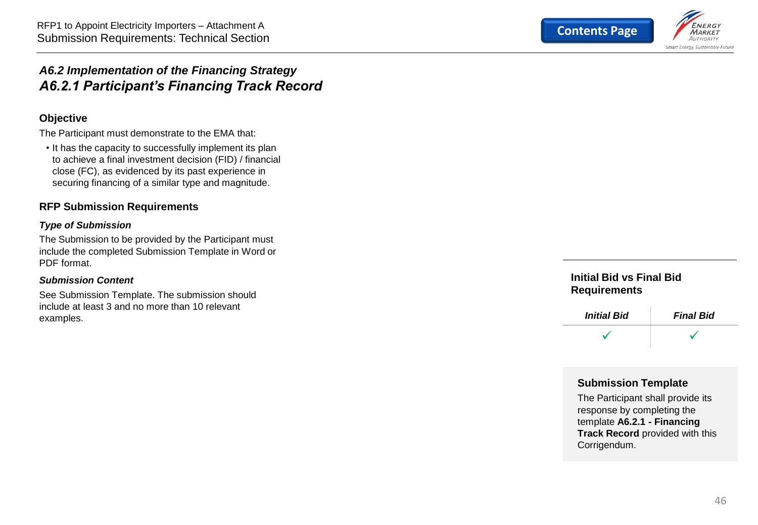

#### <span id="page-45-0"></span>*A6.2 Implementation of the Financing Strategy A6.2.1 Participant's Financing Track Record*

#### **Objective**

The Participant must demonstrate to the EMA that:

• It has the capacity to successfully implement its plan to achieve a final investment decision (FID) / financial close (FC), as evidenced by its past experience in securing financing of a similar type and magnitude.

#### **RFP Submission Requirements**

#### *Type of Submission*

The Submission to be provided by the Participant must include the completed Submission Template in Word or PDF format.

#### *Submission Content*

See Submission Template. The submission should include at least 3 and no more than 10 relevant examples.

#### **Initial Bid vs Final Bid Requirements**



#### **Submission Template**

The Participant shall provide its response by completing the template **A6.2.1 - Financing Track Record** provided with this Corrigendum.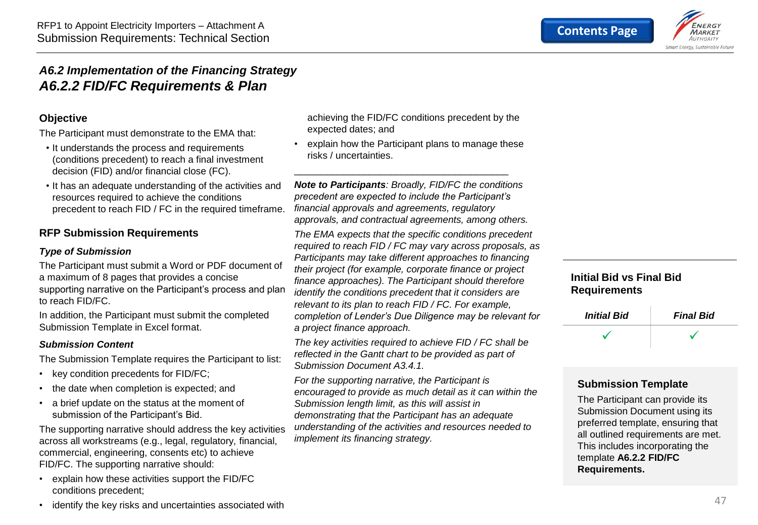

#### <span id="page-46-0"></span>*A6.2 Implementation of the Financing Strategy A6.2.2 FID/FC Requirements & Plan*

#### **Objective**

The Participant must demonstrate to the EMA that:

- It understands the process and requirements (conditions precedent) to reach a final investment decision (FID) and/or financial close (FC).
- It has an adequate understanding of the activities and resources required to achieve the conditions precedent to reach FID / FC in the required timeframe.

#### **RFP Submission Requirements**

#### *Type of Submission*

The Participant must submit a Word or PDF document of a maximum of 8 pages that provides a concise supporting narrative on the Participant's process and plan to reach FID/FC.

In addition, the Participant must submit the completed Submission Template in Excel format.

#### *Submission Content*

The Submission Template requires the Participant to list:

- key condition precedents for FID/FC;
- the date when completion is expected; and
- a brief update on the status at the moment of submission of the Participant's Bid.

The supporting narrative should address the key activities across all workstreams (e.g., legal, regulatory, financial, commercial, engineering, consents etc) to achieve FID/FC. The supporting narrative should:

• explain how these activities support the FID/FC conditions precedent;

achieving the FID/FC conditions precedent by the expected dates; and

• explain how the Participant plans to manage these risks / uncertainties.

\_\_\_\_\_\_\_\_\_\_\_\_\_\_\_\_\_\_\_\_\_\_\_\_\_\_\_\_\_\_\_\_\_\_\_\_\_\_\_\_

*Note to Participants: Broadly, FID/FC the conditions precedent are expected to include the Participant's financial approvals and agreements, regulatory approvals, and contractual agreements, among others.*

*The EMA expects that the specific conditions precedent required to reach FID / FC may vary across proposals, as Participants may take different approaches to financing their project (for example, corporate finance or project finance approaches). The Participant should therefore identify the conditions precedent that it considers are relevant to its plan to reach FID / FC. For example, completion of Lender's Due Diligence may be relevant for a project finance approach.*

*The key activities required to achieve FID / FC shall be reflected in the Gantt chart to be provided as part of Submission Document A3.4.1.*

*For the supporting narrative, the Participant is encouraged to provide as much detail as it can within the Submission length limit, as this will assist in demonstrating that the Participant has an adequate understanding of the activities and resources needed to implement its financing strategy.*

#### **Initial Bid vs Final Bid Requirements**

| <b>Initial Bid</b> | <b>Final Bid</b> |
|--------------------|------------------|
|                    |                  |

#### **Submission Template**

The Participant can provide its Submission Document using its preferred template, ensuring that all outlined requirements are met. This includes incorporating the template **A6.2.2 FID/FC Requirements.**

identify the key risks and uncertainties associated with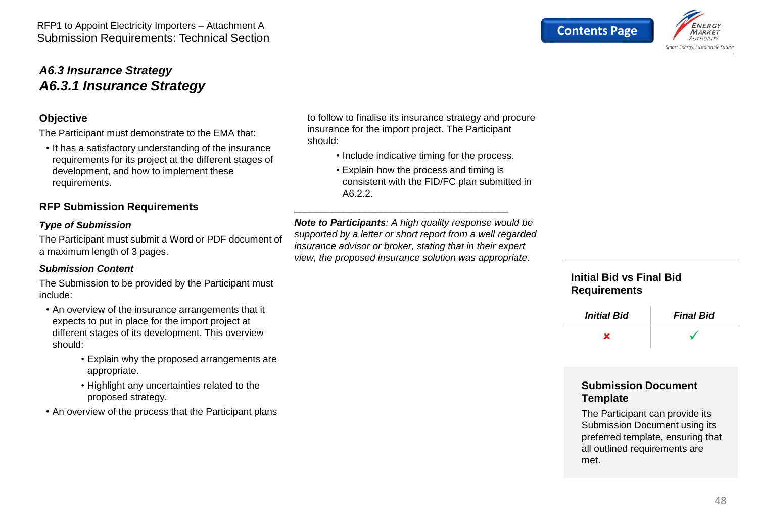

#### <span id="page-47-0"></span>*A6.3 Insurance Strategy A6.3.1 Insurance Strategy*

#### **Objective**

The Participant must demonstrate to the EMA that:

• It has a satisfactory understanding of the insurance requirements for its project at the different stages of development, and how to implement these requirements.

#### **RFP Submission Requirements**

#### *Type of Submission*

The Participant must submit a Word or PDF document of a maximum length of 3 pages.

#### *Submission Content*

The Submission to be provided by the Participant must include:

- An overview of the insurance arrangements that it expects to put in place for the import project at different stages of its development. This overview should:
	- Explain why the proposed arrangements are appropriate.
	- Highlight any uncertainties related to the proposed strategy.
- An overview of the process that the Participant plans

to follow to finalise its insurance strategy and procure insurance for the import project. The Participant should:

- Include indicative timing for the process.
- Explain how the process and timing is consistent with the FID/FC plan submitted in A6.2.2.

*Note to Participants: A high quality response would be supported by a letter or short report from a well regarded insurance advisor or broker, stating that in their expert view, the proposed insurance solution was appropriate.* 

\_\_\_\_\_\_\_\_\_\_\_\_\_\_\_\_\_\_\_\_\_\_\_\_\_\_\_\_\_\_\_\_\_\_\_\_\_\_\_\_

#### **Initial Bid vs Final Bid Requirements**



#### **Submission Document Template**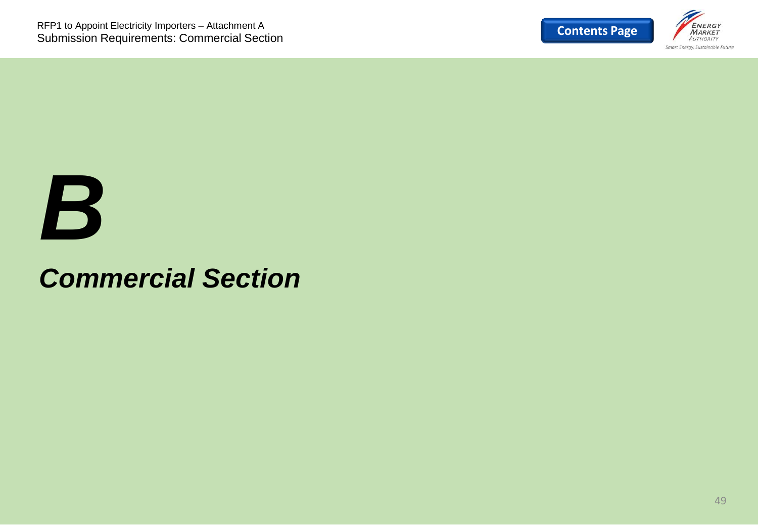

## *B*

## *Commercial Section*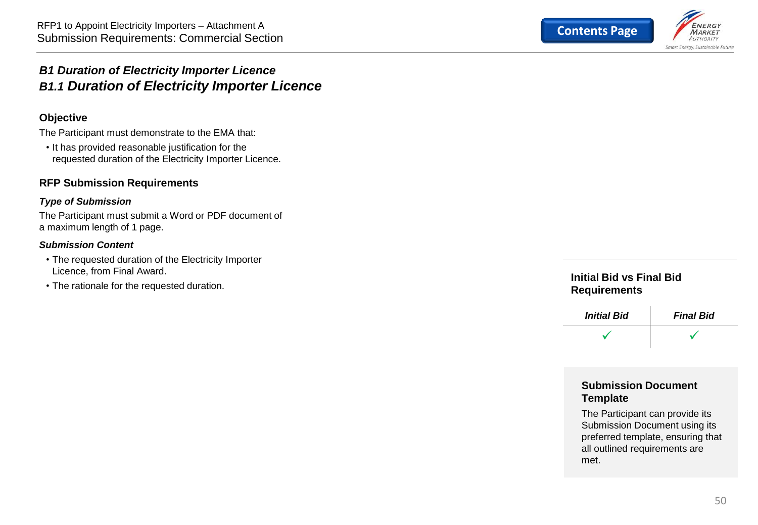

#### <span id="page-49-0"></span>*B1 Duration of Electricity Importer Licence B1.1 Duration of Electricity Importer Licence*

#### **Objective**

The Participant must demonstrate to the EMA that:

• It has provided reasonable justification for the requested duration of the Electricity Importer Licence.

#### **RFP Submission Requirements**

#### *Type of Submission*

The Participant must submit a Word or PDF document of a maximum length of 1 page.

#### *Submission Content*

- The requested duration of the Electricity Importer Licence, from Final Award.
- The rationale for the requested duration.

#### **Initial Bid vs Final Bid Requirements**



#### **Submission Document Template**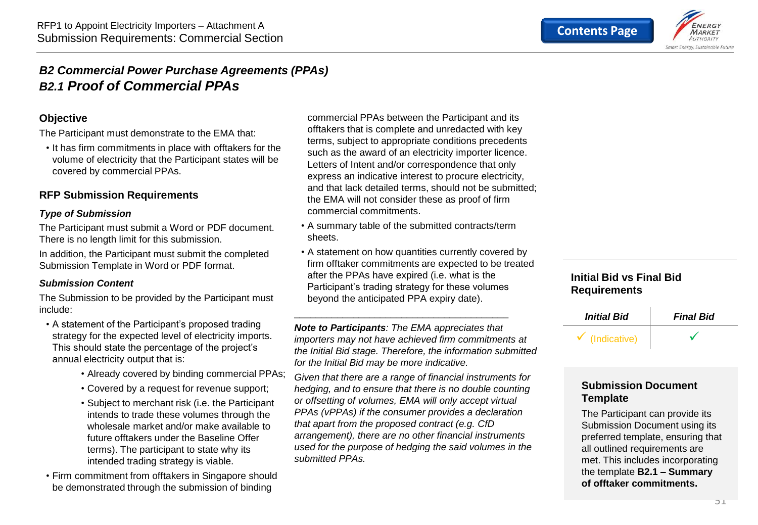

#### <span id="page-50-0"></span>*B2 Commercial Power Purchase Agreements (PPAs) B2.1 Proof of Commercial PPAs*

#### **Objective**

The Participant must demonstrate to the EMA that:

• It has firm commitments in place with offtakers for the volume of electricity that the Participant states will be covered by commercial PPAs.

#### **RFP Submission Requirements**

#### *Type of Submission*

The Participant must submit a Word or PDF document. There is no length limit for this submission.

In addition, the Participant must submit the completed Submission Template in Word or PDF format.

#### *Submission Content*

The Submission to be provided by the Participant must include:

- A statement of the Participant's proposed trading strategy for the expected level of electricity imports. This should state the percentage of the project's annual electricity output that is:
	- Already covered by binding commercial PPAs;
	- Covered by a request for revenue support;
	- Subject to merchant risk (i.e. the Participant intends to trade these volumes through the wholesale market and/or make available to future offtakers under the Baseline Offer terms). The participant to state why its intended trading strategy is viable.

• Firm commitment from offtakers in Singapore should be demonstrated through the submission of binding

commercial PPAs between the Participant and its offtakers that is complete and unredacted with key terms, subject to appropriate conditions precedents such as the award of an electricity importer licence. Letters of Intent and/or correspondence that only express an indicative interest to procure electricity, and that lack detailed terms, should not be submitted; the EMA will not consider these as proof of firm commercial commitments.

- A summary table of the submitted contracts/term sheets.
- A statement on how quantities currently covered by firm offtaker commitments are expected to be treated after the PPAs have expired (i.e. what is the Participant's trading strategy for these volumes beyond the anticipated PPA expiry date).

*Note to Participants: The EMA appreciates that importers may not have achieved firm commitments at the Initial Bid stage. Therefore, the information submitted for the Initial Bid may be more indicative.*

\_\_\_\_\_\_\_\_\_\_\_\_\_\_\_\_\_\_\_\_\_\_\_\_\_\_\_\_\_\_\_\_\_\_\_\_\_\_\_\_

*Given that there are a range of financial instruments for hedging, and to ensure that there is no double counting or offsetting of volumes, EMA will only accept virtual PPAs (vPPAs) if the consumer provides a declaration that apart from the proposed contract (e.g. CfD arrangement), there are no other financial instruments used for the purpose of hedging the said volumes in the submitted PPAs.* 

#### **Initial Bid vs Final Bid Requirements**



#### **Submission Document Template**

The Participant can provide its Submission Document using its preferred template, ensuring that all outlined requirements are met. This includes incorporating the template **B2.1 – Summary of offtaker commitments.**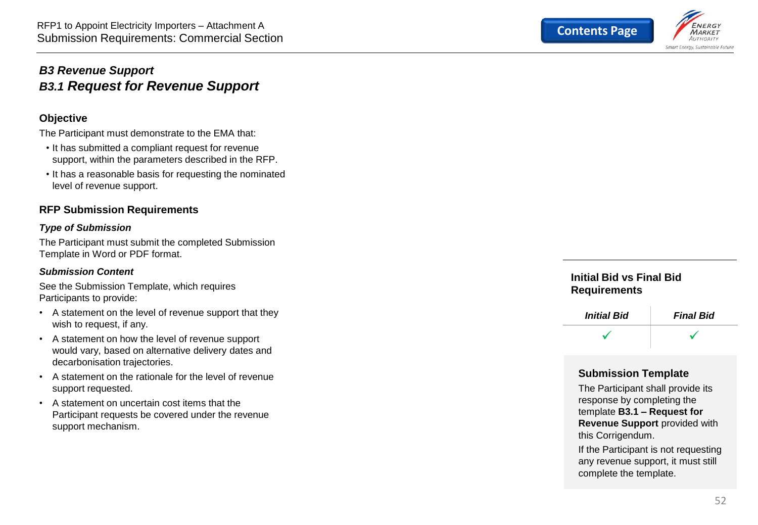<span id="page-51-0"></span>

#### **Objective**

The Participant must demonstrate to the EMA that:

- It has submitted a compliant request for revenue support, within the parameters described in the RFP.
- It has a reasonable basis for requesting the nominated level of revenue support.

#### **RFP Submission Requirements**

#### *Type of Submission*

The Participant must submit the completed Submission Template in Word or PDF format.

#### *Submission Content*

See the Submission Template, which requires Participants to provide:

- A statement on the level of revenue support that they wish to request, if any.
- A statement on how the level of revenue support would vary, based on alternative delivery dates and decarbonisation trajectories.
- A statement on the rationale for the level of revenue support requested.
- A statement on uncertain cost items that the Participant requests be covered under the revenue support mechanism.



#### **Initial Bid vs Final Bid Requirements**



#### **Submission Template**

The Participant shall provide its response by completing the template **B3.1 – Request for Revenue Support** provided with this Corrigendum.

If the Participant is not requesting any revenue support, it must still complete the template.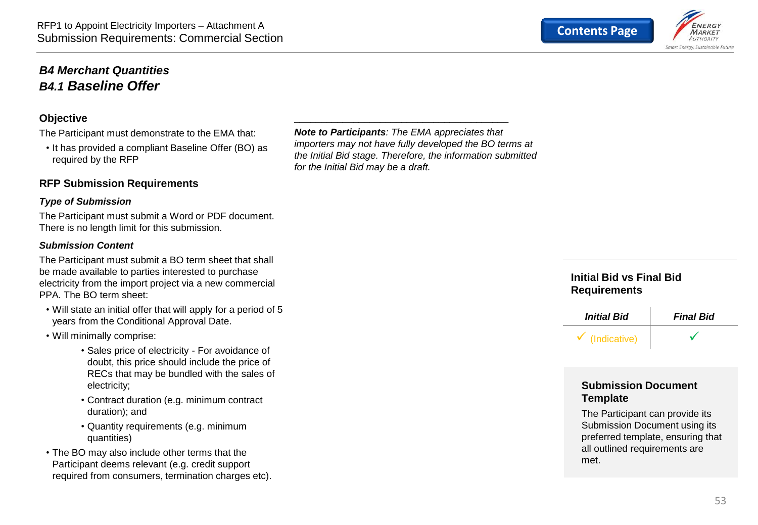

#### <span id="page-52-0"></span>*B4 Merchant Quantities B4.1 Baseline Offer*

#### **Objective**

The Participant must demonstrate to the EMA that:

• It has provided a compliant Baseline Offer (BO) as required by the RFP

#### **RFP Submission Requirements**

#### *Type of Submission*

The Participant must submit a Word or PDF document. There is no length limit for this submission.

#### *Submission Content*

The Participant must submit a BO term sheet that shall be made available to parties interested to purchase electricity from the import project via a new commercial PPA. The BO term sheet:

- Will state an initial offer that will apply for a period of 5 years from the Conditional Approval Date.
- Will minimally comprise:
	- Sales price of electricity For avoidance of doubt, this price should include the price of RECs that may be bundled with the sales of electricity;
	- Contract duration (e.g. minimum contract duration); and
	- Quantity requirements (e.g. minimum quantities)

• The BO may also include other terms that the Participant deems relevant (e.g. credit support required from consumers, termination charges etc). *Note to Participants: The EMA appreciates that importers may not have fully developed the BO terms at the Initial Bid stage. Therefore, the information submitted for the Initial Bid may be a draft.*

\_\_\_\_\_\_\_\_\_\_\_\_\_\_\_\_\_\_\_\_\_\_\_\_\_\_\_\_\_\_\_\_\_\_\_\_\_\_\_\_

#### **Initial Bid vs Final Bid Requirements**



#### **Submission Document Template**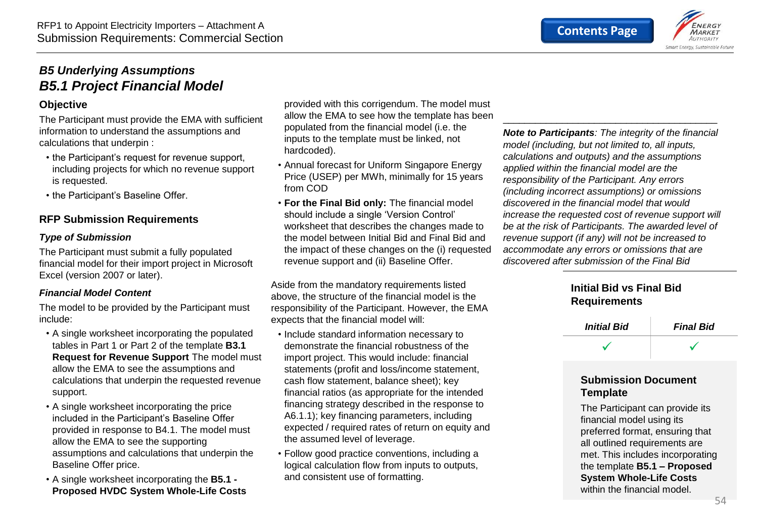

#### <span id="page-53-0"></span>*B5 Underlying Assumptions B5.1 Project Financial Model*

#### **Objective**

The Participant must provide the EMA with sufficient information to understand the assumptions and calculations that underpin :

- the Participant's request for revenue support, including projects for which no revenue support is requested.
- the Participant's Baseline Offer.

#### **RFP Submission Requirements**

#### *Type of Submission*

The Participant must submit a fully populated financial model for their import project in Microsoft Excel (version 2007 or later).

#### *Financial Model Content*

The model to be provided by the Participant must include:

- A single worksheet incorporating the populated tables in Part 1 or Part 2 of the template **B3.1 Request for Revenue Support** The model must allow the EMA to see the assumptions and calculations that underpin the requested revenue support.
- A single worksheet incorporating the price included in the Participant's Baseline Offer provided in response to B4.1. The model must allow the EMA to see the supporting assumptions and calculations that underpin the Baseline Offer price.
- A single worksheet incorporating the **B5.1 - Proposed HVDC System Whole-Life Costs**

provided with this corrigendum. The model must allow the EMA to see how the template has been populated from the financial model (i.e. the inputs to the template must be linked, not hardcoded).

- Annual forecast for Uniform Singapore Energy Price (USEP) per MWh, minimally for 15 years from COD
- **For the Final Bid only:** The financial model should include a single 'Version Control' worksheet that describes the changes made to the model between Initial Bid and Final Bid and the impact of these changes on the (i) requested revenue support and (ii) Baseline Offer.

Aside from the mandatory requirements listed above, the structure of the financial model is the responsibility of the Participant. However, the EMA expects that the financial model will:

- Include standard information necessary to demonstrate the financial robustness of the import project. This would include: financial statements (profit and loss/income statement, cash flow statement, balance sheet); key financial ratios (as appropriate for the intended financing strategy described in the response to A6.1.1); key financing parameters, including expected / required rates of return on equity and the assumed level of leverage.
- Follow good practice conventions, including a logical calculation flow from inputs to outputs, and consistent use of formatting.

*Note to Participants: The integrity of the financial model (including, but not limited to, all inputs, calculations and outputs) and the assumptions applied within the financial model are the responsibility of the Participant. Any errors (including incorrect assumptions) or omissions discovered in the financial model that would increase the requested cost of revenue support will be at the risk of Participants. The awarded level of revenue support (if any) will not be increased to accommodate any errors or omissions that are discovered after submission of the Final Bid*

\_\_\_\_\_\_\_\_\_\_\_\_\_\_\_\_\_\_\_\_\_\_\_\_\_\_\_\_\_\_\_\_\_\_\_\_\_\_\_\_

#### **Initial Bid vs Final Bid Requirements**



#### **Submission Document Template**

The Participant can provide its financial model using its preferred format, ensuring that all outlined requirements are met. This includes incorporating the template **B5.1 – Proposed System Whole-Life Costs** within the financial model.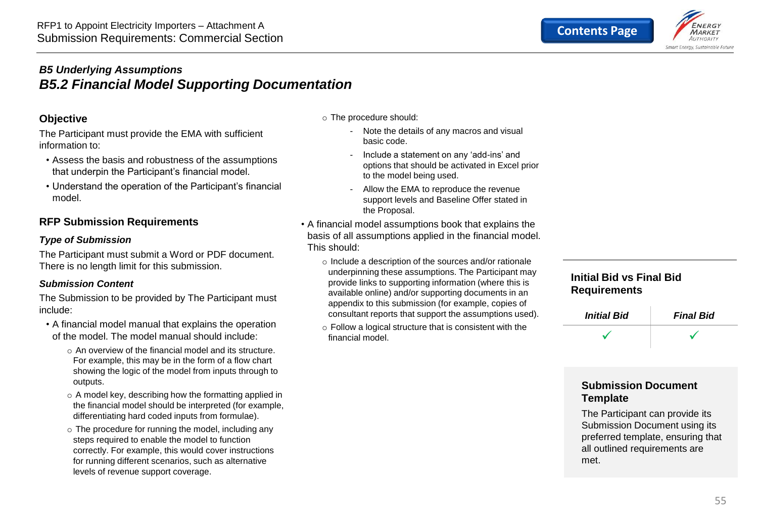

#### <span id="page-54-0"></span>*B5 Underlying Assumptions B5.2 Financial Model Supporting Documentation*

#### **Objective**

The Participant must provide the EMA with sufficient information to:

- Assess the basis and robustness of the assumptions that underpin the Participant's financial model.
- Understand the operation of the Participant's financial model.

#### **RFP Submission Requirements**

#### *Type of Submission*

The Participant must submit a Word or PDF document. There is no length limit for this submission.

#### *Submission Content*

The Submission to be provided by The Participant must include:

- A financial model manual that explains the operation of the model. The model manual should include:
	- o An overview of the financial model and its structure. For example, this may be in the form of a flow chart showing the logic of the model from inputs through to outputs.
	- o A model key, describing how the formatting applied in the financial model should be interpreted (for example, differentiating hard coded inputs from formulae).
	- o The procedure for running the model, including any steps required to enable the model to function correctly. For example, this would cover instructions for running different scenarios, such as alternative levels of revenue support coverage.
- o The procedure should:
	- Note the details of any macros and visual basic code.
	- Include a statement on any 'add-ins' and options that should be activated in Excel prior to the model being used.
	- Allow the EMA to reproduce the revenue support levels and Baseline Offer stated in the Proposal.
- A financial model assumptions book that explains the basis of all assumptions applied in the financial model. This should:
	- o Include a description of the sources and/or rationale underpinning these assumptions. The Participant may provide links to supporting information (where this is available online) and/or supporting documents in an appendix to this submission (for example, copies of consultant reports that support the assumptions used).
	- o Follow a logical structure that is consistent with the financial model.

#### **Initial Bid vs Final Bid Requirements**

| <b>Initial Bid</b> | <b>Final Bid</b> |
|--------------------|------------------|
|                    |                  |

#### **Submission Document Template**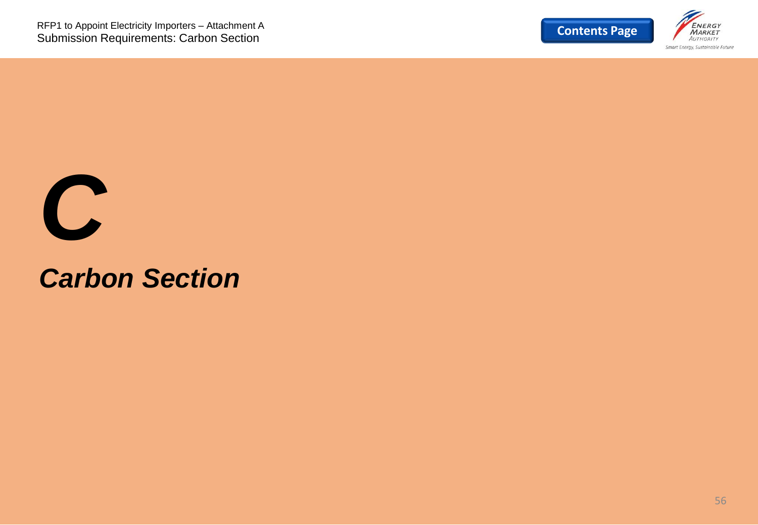



## *Carbon Section*

56